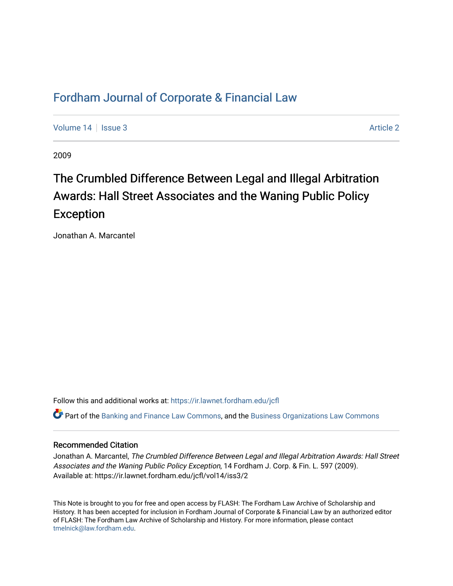# [Fordham Journal of Corporate & Financial Law](https://ir.lawnet.fordham.edu/jcfl)

[Volume 14](https://ir.lawnet.fordham.edu/jcfl/vol14) Sexue 3 [Article 2](https://ir.lawnet.fordham.edu/jcfl/vol14/iss3/2) Article 2 Article 2

2009

# The Crumbled Difference Between Legal and Illegal Arbitration Awards: Hall Street Associates and the Waning Public Policy Exception

Jonathan A. Marcantel

Follow this and additional works at: [https://ir.lawnet.fordham.edu/jcfl](https://ir.lawnet.fordham.edu/jcfl?utm_source=ir.lawnet.fordham.edu%2Fjcfl%2Fvol14%2Fiss3%2F2&utm_medium=PDF&utm_campaign=PDFCoverPages) 

Part of the [Banking and Finance Law Commons,](http://network.bepress.com/hgg/discipline/833?utm_source=ir.lawnet.fordham.edu%2Fjcfl%2Fvol14%2Fiss3%2F2&utm_medium=PDF&utm_campaign=PDFCoverPages) and the [Business Organizations Law Commons](http://network.bepress.com/hgg/discipline/900?utm_source=ir.lawnet.fordham.edu%2Fjcfl%2Fvol14%2Fiss3%2F2&utm_medium=PDF&utm_campaign=PDFCoverPages) 

# Recommended Citation

Jonathan A. Marcantel, The Crumbled Difference Between Legal and Illegal Arbitration Awards: Hall Street Associates and the Waning Public Policy Exception, 14 Fordham J. Corp. & Fin. L. 597 (2009). Available at: https://ir.lawnet.fordham.edu/jcfl/vol14/iss3/2

This Note is brought to you for free and open access by FLASH: The Fordham Law Archive of Scholarship and History. It has been accepted for inclusion in Fordham Journal of Corporate & Financial Law by an authorized editor of FLASH: The Fordham Law Archive of Scholarship and History. For more information, please contact [tmelnick@law.fordham.edu](mailto:tmelnick@law.fordham.edu).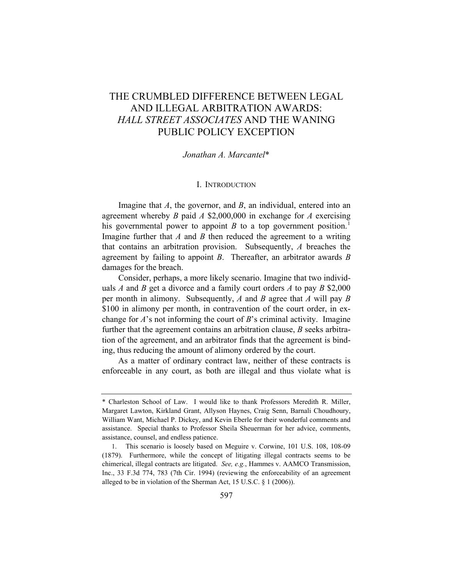# THE CRUMBLED DIFFERENCE BETWEEN LEGAL AND ILLEGAL ARBITRATION AWARDS: *HALL STREET ASSOCIATES* AND THE WANING PUBLIC POLICY EXCEPTION

#### *Jonathan A. Marcantel*\*

#### I. INTRODUCTION

Imagine that *A*, the governor, and *B*, an individual, entered into an agreement whereby *B* paid *A* \$2,000,000 in exchange for *A* exercising his governmental power to appoint  $B$  to a top government position.<sup>[1](#page-1-0)</sup> Imagine further that *A* and *B* then reduced the agreement to a writing that contains an arbitration provision. Subsequently, *A* breaches the agreement by failing to appoint *B*. Thereafter, an arbitrator awards *B* damages for the breach.

Consider, perhaps, a more likely scenario. Imagine that two individuals *A* and *B* get a divorce and a family court orders *A* to pay *B* \$2,000 per month in alimony. Subsequently, *A* and *B* agree that *A* will pay *B* \$100 in alimony per month, in contravention of the court order, in exchange for *A*'s not informing the court of *B*'s criminal activity. Imagine further that the agreement contains an arbitration clause, *B* seeks arbitration of the agreement, and an arbitrator finds that the agreement is binding, thus reducing the amount of alimony ordered by the court.

As a matter of ordinary contract law, neither of these contracts is enforceable in any court, as both are illegal and thus violate what is

<span id="page-1-0"></span><sup>\*</sup> Charleston School of Law. I would like to thank Professors Meredith R. Miller, Margaret Lawton, Kirkland Grant, Allyson Haynes, Craig Senn, Barnali Choudhoury, William Want, Michael P. Dickey, and Kevin Eberle for their wonderful comments and assistance. Special thanks to Professor Sheila Sheuerman for her advice, comments, assistance, counsel, and endless patience.

<sup>1.</sup> This scenario is loosely based on Meguire v. Corwine, 101 U.S. 108, 108-09 (1879). Furthermore, while the concept of litigating illegal contracts seems to be chimerical, illegal contracts are litigated. *See, e.g.*, Hammes v. AAMCO Transmission, Inc., 33 F.3d 774, 783 (7th Cir. 1994) (reviewing the enforceability of an agreement alleged to be in violation of the Sherman Act, 15 U.S.C. § 1 (2006)).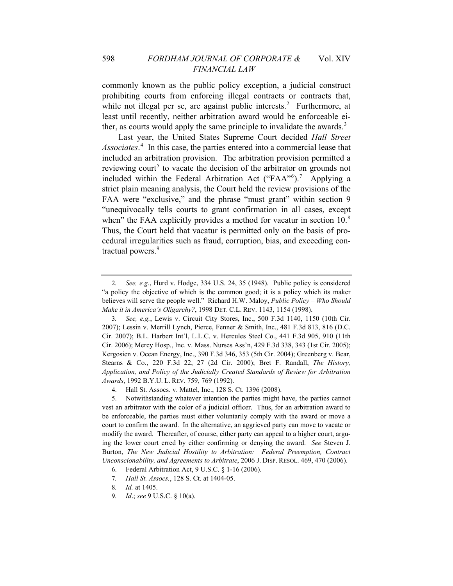commonly known as the public policy exception, a judicial construct prohibiting courts from enforcing illegal contracts or contracts that, while not illegal per se, are against public interests.<sup>[2](#page-2-0)</sup> Furthermore, at least until recently, neither arbitration award would be enforceable ei-ther, as courts would apply the same principle to invalidate the awards.<sup>[3](#page-2-1)</sup>

Last year, the United States Supreme Court decided *Hall Street Associates*. [4](#page-2-2) In this case, the parties entered into a commercial lease that included an arbitration provision. The arbitration provision permitted a reviewing court<sup>[5](#page-2-3)</sup> to vacate the decision of the arbitrator on grounds not included within the Federal Arbitration Act ("FAA"<sup>[6](#page-2-4)</sup>).<sup>[7](#page-2-5)</sup> Applying a strict plain meaning analysis, the Court held the review provisions of the FAA were "exclusive," and the phrase "must grant" within section 9 "unequivocally tells courts to grant confirmation in all cases, except when" the FAA explicitly provides a method for vacatur in section 10.<sup>[8](#page-2-6)</sup> Thus, the Court held that vacatur is permitted only on the basis of procedural irregularities such as fraud, corruption, bias, and exceeding con-tractual powers.<sup>[9](#page-2-7)</sup>

<span id="page-2-0"></span><sup>2</sup>*. See, e.g.*, Hurd v. Hodge, 334 U.S. 24, 35 (1948). Public policy is considered "a policy the objective of which is the common good; it is a policy which its maker believes will serve the people well." Richard H.W. Maloy, *Public Policy – Who Should Make it in America's Oligarchy?*, 1998 DET. C.L. REV. 1143, 1154 (1998).

<span id="page-2-1"></span><sup>3</sup>*. See, e.g.*, Lewis v. Circuit City Stores, Inc., 500 F.3d 1140, 1150 (10th Cir. 2007); Lessin v. Merrill Lynch, Pierce, Fenner & Smith, Inc., 481 F.3d 813, 816 (D.C. Cir. 2007); B.L. Harbert Int'l, L.L.C. v. Hercules Steel Co., 441 F.3d 905, 910 (11th Cir. 2006); Mercy Hosp., Inc. v. Mass. Nurses Ass'n, 429 F.3d 338, 343 (1st Cir. 2005); Kergosien v. Ocean Energy, Inc., 390 F.3d 346, 353 (5th Cir. 2004); Greenberg v. Bear, Stearns & Co., 220 F.3d 22, 27 (2d Cir. 2000); Bret F. Randall, *The History, Application, and Policy of the Judicially Created Standards of Review for Arbitration Awards*, 1992 B.Y.U. L. REV. 759, 769 (1992).

<sup>4.</sup> Hall St. Assocs. v. Mattel, Inc., 128 S. Ct. 1396 (2008).

<span id="page-2-3"></span><span id="page-2-2"></span><sup>5.</sup> Notwithstanding whatever intention the parties might have, the parties cannot vest an arbitrator with the color of a judicial officer. Thus, for an arbitration award to be enforceable, the parties must either voluntarily comply with the award or move a court to confirm the award. In the alternative, an aggrieved party can move to vacate or modify the award. Thereafter, of course, either party can appeal to a higher court, arguing the lower court erred by either confirming or denying the award. *See* Steven J. Burton, *The New Judicial Hostility to Arbitration: Federal Preemption, Contract Unconscionability, and Agreements to Arbitrate*, 2006 J. DISP. RESOL. 469, 470 (2006).

<sup>6.</sup> Federal Arbitration Act, 9 U.S.C. § 1-16 (2006).

<span id="page-2-5"></span><span id="page-2-4"></span><sup>7</sup>*. Hall St. Assocs.*, 128 S. Ct. at 1404-05.

<span id="page-2-6"></span><sup>8</sup>*. Id.* at 1405.

<span id="page-2-7"></span><sup>9</sup>*. Id*.; *see* 9 U.S.C. § 10(a).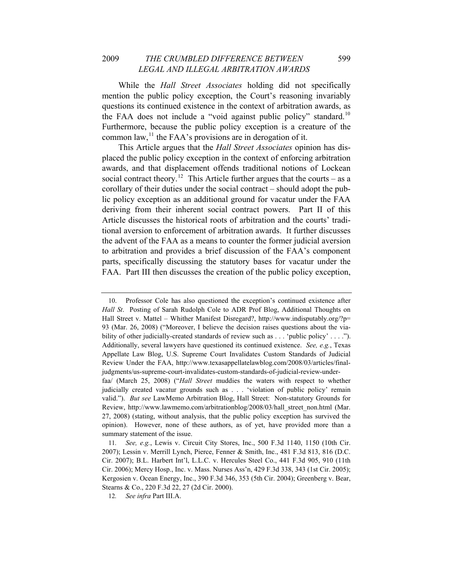While the *Hall Street Associates* holding did not specifically mention the public policy exception, the Court's reasoning invariably questions its continued existence in the context of arbitration awards, as the FAA does not include a "void against public policy" standard.<sup>[10](#page-3-0)</sup> Furthermore, because the public policy exception is a creature of the common law,  $\frac{11}{1}$  $\frac{11}{1}$  $\frac{11}{1}$  the FAA's provisions are in derogation of it.

This Article argues that the *Hall Street Associates* opinion has displaced the public policy exception in the context of enforcing arbitration awards, and that displacement offends traditional notions of Lockean social contract theory.<sup>[12](#page-3-2)</sup> This Article further argues that the courts – as a corollary of their duties under the social contract *–* should adopt the public policy exception as an additional ground for vacatur under the FAA deriving from their inherent social contract powers. Part II of this Article discusses the historical roots of arbitration and the courts' traditional aversion to enforcement of arbitration awards. It further discusses the advent of the FAA as a means to counter the former judicial aversion to arbitration and provides a brief discussion of the FAA's component parts, specifically discussing the statutory bases for vacatur under the FAA. Part III then discusses the creation of the public policy exception,

<span id="page-3-0"></span><sup>10.</sup> Professor Cole has also questioned the exception's continued existence after *Hall St*. Posting of Sarah Rudolph Cole to ADR Prof Blog, Additional Thoughts on Hall Street v. Mattel *–* Whither Manifest Disregard?, http://www.indisputably.org/?p= 93 (Mar. 26, 2008) ("Moreover, I believe the decision raises questions about the viability of other judicially-created standards of review such as . . . 'public policy' . . . ."). Additionally, several lawyers have questioned its continued existence. *See, e.g.*, Texas Appellate Law Blog, U.S. Supreme Court Invalidates Custom Standards of Judicial Review Under the FAA, http://www.texasappellatelawblog.com/2008/03/articles/finaljudgments/us-supreme-court-invalidates-custom-standards-of-judicial-review-under-

faa/ (March 25, 2008) ("*Hall Street* muddies the waters with respect to whether judicially created vacatur grounds such as . . . 'violation of public policy' remain valid."). *But see* LawMemo Arbitration Blog, Hall Street: Non-statutory Grounds for Review, http://www.lawmemo.com/arbitrationblog/2008/03/hall\_street\_non.html (Mar. 27, 2008) (stating, without analysis, that the public policy exception has survived the opinion). However, none of these authors, as of yet, have provided more than a summary statement of the issue.

<span id="page-3-1"></span><sup>11</sup>*. See, e.g.*, Lewis v. Circuit City Stores, Inc., 500 F.3d 1140, 1150 (10th Cir. 2007); Lessin v. Merrill Lynch, Pierce, Fenner & Smith, Inc., 481 F.3d 813, 816 (D.C. Cir. 2007); B.L. Harbert Int'l, L.L.C. v. Hercules Steel Co., 441 F.3d 905, 910 (11th Cir. 2006); Mercy Hosp., Inc. v. Mass. Nurses Ass'n, 429 F.3d 338, 343 (1st Cir. 2005); Kergosien v. Ocean Energy, Inc., 390 F.3d 346, 353 (5th Cir. 2004); Greenberg v. Bear, Stearns & Co., 220 F.3d 22, 27 (2d Cir. 2000).

<span id="page-3-2"></span><sup>12</sup>*. See infra* Part III.A.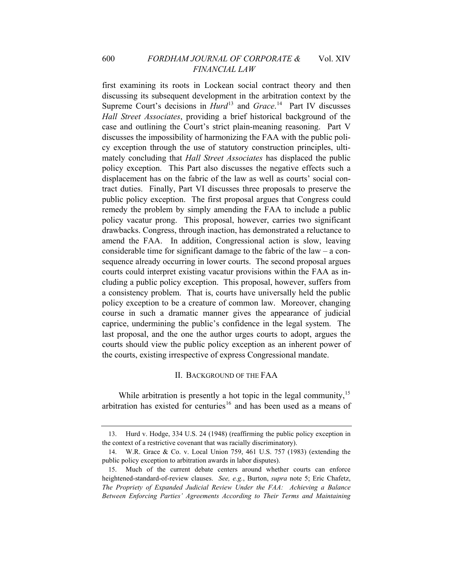first examining its roots in Lockean social contract theory and then discussing its subsequent development in the arbitration context by the Supreme Court's decisions in *Hurd*<sup>[13](#page-4-0)</sup> and *Grace*.<sup>[14](#page-4-1)</sup> Part IV discusses *Hall Street Associates*, providing a brief historical background of the case and outlining the Court's strict plain-meaning reasoning. Part V discusses the impossibility of harmonizing the FAA with the public policy exception through the use of statutory construction principles, ultimately concluding that *Hall Street Associates* has displaced the public policy exception. This Part also discusses the negative effects such a displacement has on the fabric of the law as well as courts' social contract duties. Finally, Part VI discusses three proposals to preserve the public policy exception. The first proposal argues that Congress could remedy the problem by simply amending the FAA to include a public policy vacatur prong. This proposal, however, carries two significant drawbacks. Congress, through inaction, has demonstrated a reluctance to amend the FAA. In addition, Congressional action is slow, leaving considerable time for significant damage to the fabric of the law *–* a consequence already occurring in lower courts. The second proposal argues courts could interpret existing vacatur provisions within the FAA as including a public policy exception. This proposal, however, suffers from a consistency problem. That is, courts have universally held the public policy exception to be a creature of common law. Moreover, changing course in such a dramatic manner gives the appearance of judicial caprice, undermining the public's confidence in the legal system. The last proposal, and the one the author urges courts to adopt, argues the courts should view the public policy exception as an inherent power of the courts, existing irrespective of express Congressional mandate.

#### II. BACKGROUND OF THE FAA

<span id="page-4-3"></span>While arbitration is presently a hot topic in the legal community,<sup>[15](#page-4-2)</sup> arbitration has existed for centuries<sup>[16](#page-4-3)</sup> and has been used as a means of

<span id="page-4-0"></span><sup>13.</sup> Hurd v. Hodge, 334 U.S. 24 (1948) (reaffirming the public policy exception in the context of a restrictive covenant that was racially discriminatory).

<span id="page-4-1"></span><sup>14.</sup> W.R. Grace & Co. v. Local Union 759, 461 U.S. 757 (1983) (extending the public policy exception to arbitration awards in labor disputes).

<span id="page-4-2"></span><sup>15.</sup> Much of the current debate centers around whether courts can enforce heightened-standard-of-review clauses. *See, e.g.*, Burton, *supra* note 5; Eric Chafetz, *The Propriety of Expanded Judicial Review Under the FAA: Achieving a Balance Between Enforcing Parties' Agreements According to Their Terms and Maintaining*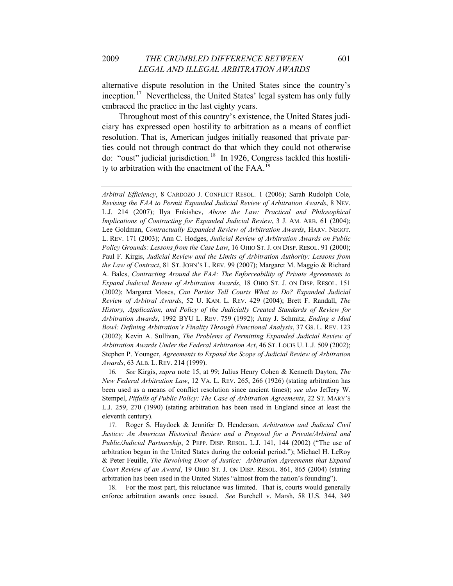alternative dispute resolution in the United States since the country's inception.<sup>[17](#page-5-0)</sup> Nevertheless, the United States' legal system has only fully embraced the practice in the last eighty years.

Throughout most of this country's existence, the United States judiciary has expressed open hostility to arbitration as a means of conflict resolution. That is, American judges initially reasoned that private parties could not through contract do that which they could not otherwise do: "oust" judicial jurisdiction.<sup>[18](#page-5-1)</sup> In 1926, Congress tackled this hostili-ty to arbitration with the enactment of the FAA.<sup>[19](#page-5-2)</sup>

16*. See* Kirgis, *supra* note 15, at 99; Julius Henry Cohen & Kenneth Dayton, *The New Federal Arbitration Law*, 12 VA. L. REV. 265, 266 (1926) (stating arbitration has been used as a means of conflict resolution since ancient times); *see also* Jeffery W. Stempel, *Pitfalls of Public Policy: The Case of Arbitration Agreements*, 22 ST. MARY'S L.J. 259, 270 (1990) (stating arbitration has been used in England since at least the eleventh century).

<span id="page-5-2"></span><span id="page-5-0"></span>17. Roger S. Haydock & Jennifer D. Henderson, *Arbitration and Judicial Civil Justice: An American Historical Review and a Proposal for a Private/Arbitral and Public/Judicial Partnership*, 2 PEPP. DISP. RESOL. L.J. 141, 144 (2002) ("The use of arbitration began in the United States during the colonial period."); Michael H. LeRoy & Peter Feuille, *The Revolving Door of Justice: Arbitration Agreements that Expand Court Review of an Award*, 19 OHIO ST. J. ON DISP. RESOL. 861, 865 (2004) (stating arbitration has been used in the United States "almost from the nation's founding").

<span id="page-5-1"></span>18. For the most part, this reluctance was limited. That is, courts would generally enforce arbitration awards once issued. *See* Burchell v. Marsh, 58 U.S. 344, 349

*Arbitral Efficiency*, 8 CARDOZO J. CONFLICT RESOL. 1 (2006); Sarah Rudolph Cole, *Revising the FAA to Permit Expanded Judicial Review of Arbitration Awards*, 8 NEV. L.J. 214 (2007); Ilya Enkishev, *Above the Law: Practical and Philosophical Implications of Contracting for Expanded Judicial Review*, 3 J. AM. ARB. 61 (2004); Lee Goldman, *Contractually Expanded Review of Arbitration Awards*, HARV. NEGOT. L. REV. 171 (2003); Ann C. Hodges, *Judicial Review of Arbitration Awards on Public Policy Grounds: Lessons from the Case Law*, 16 OHIO ST. J. ON DISP. RESOL. 91 (2000); Paul F. Kirgis, *Judicial Review and the Limits of Arbitration Authority: Lessons from the Law of Contract*, 81 ST. JOHN'S L. REV. 99 (2007); Margaret M. Maggio & Richard A. Bales, *Contracting Around the FAA: The Enforceability of Private Agreements to Expand Judicial Review of Arbitration Awards*, 18 OHIO ST. J. ON DISP. RESOL. 151 (2002); Margaret Moses, *Can Parties Tell Courts What to Do? Expanded Judicial Review of Arbitral Awards*, 52 U. KAN. L. REV. 429 (2004); Brett F. Randall, *The History, Application, and Policy of the Judicially Created Standards of Review for Arbitration Awards*, 1992 BYU L. REV. 759 (1992); Amy J. Schmitz, *Ending a Mud Bowl: Defining Arbitration's Finality Through Functional Analysis*, 37 GS. L. REV. 123 (2002); Kevin A. Sullivan, *The Problems of Permitting Expanded Judicial Review of Arbitration Awards Under the Federal Arbitration Act*, 46 ST. LOUIS U. L.J. 509 (2002); Stephen P. Younger, *Agreements to Expand the Scope of Judicial Review of Arbitration Awards*, 63 ALB. L. REV. 214 (1999).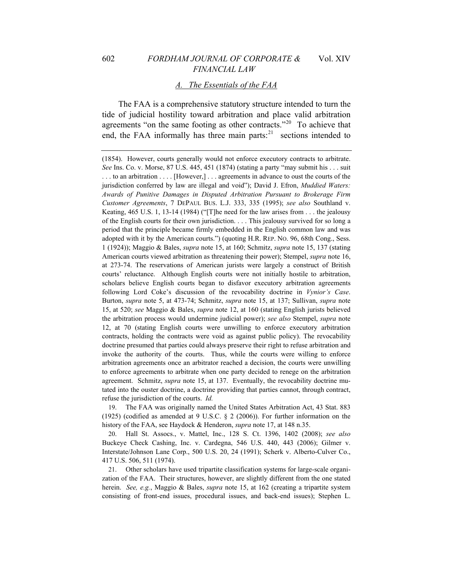#### *A. The Essentials of the FAA*

The FAA is a comprehensive statutory structure intended to turn the tide of judicial hostility toward arbitration and place valid arbitration agreements "on the same footing as other contracts."[20](#page-6-0) To achieve that end, the FAA informally has three main parts:<sup>[21](#page-6-1)</sup> sections intended to

(1854). However, courts generally would not enforce executory contracts to arbitrate. *See* Ins. Co. v. Morse, 87 U.S. 445, 451 (1874) (stating a party "may submit his . . . suit . . . to an arbitration . . . . [However,] . . . agreements in advance to oust the courts of the jurisdiction conferred by law are illegal and void"); David J. Efron, *Muddied Waters: Awards of Punitive Damages in Disputed Arbitration Pursuant to Brokerage Firm Customer Agreements*, 7 DEPAUL BUS. L.J. 333, 335 (1995); *see also* Southland v. Keating, 465 U.S. 1, 13-14 (1984) ("[T]he need for the law arises from . . . the jealousy of the English courts for their own jurisdiction. . . . This jealousy survived for so long a period that the principle became firmly embedded in the English common law and was adopted with it by the American courts.") (quoting H.R. REP. NO. 96, 68th Cong., Sess. 1 (1924)); Maggio & Bales, *supra* note 15, at 160; Schmitz, *supra* note 15, 137 (stating American courts viewed arbitration as threatening their power); Stempel, *supra* note 16, at 273-74. The reservations of American jurists were largely a construct of British courts' reluctance. Although English courts were not initially hostile to arbitration, scholars believe English courts began to disfavor executory arbitration agreements following Lord Coke's discussion of the revocability doctrine in *Vynior's Case*. Burton, *supra* note 5, at 473-74; Schmitz, *supra* note 15, at 137; Sullivan, *supra* note 15, at 520; *see* Maggio & Bales, *supra* note 12, at 160 (stating English jurists believed the arbitration process would undermine judicial power); *see also* Stempel, *supra* note 12, at 70 (stating English courts were unwilling to enforce executory arbitration contracts, holding the contracts were void as against public policy). The revocability doctrine presumed that parties could always preserve their right to refuse arbitration and invoke the authority of the courts. Thus, while the courts were willing to enforce arbitration agreements once an arbitrator reached a decision, the courts were unwilling to enforce agreements to arbitrate when one party decided to renege on the arbitration agreement. Schmitz, *supra* note 15, at 137. Eventually, the revocability doctrine mutated into the ouster doctrine, a doctrine providing that parties cannot, through contract, refuse the jurisdiction of the courts. *Id.*

19. The FAA was originally named the United States Arbitration Act, 43 Stat. 883 (1925) (codified as amended at 9 U.S.C. § 2 (2006)). For further information on the history of the FAA, see Haydock & Henderon, *supra* note 17, at 148 n.35.

<span id="page-6-0"></span>20. Hall St. Assocs., v. Mattel, Inc., 128 S. Ct. 1396, 1402 (2008); *see also* Buckeye Check Cashing, Inc. v. Cardegna, 546 U.S. 440, 443 (2006); Gilmer v. Interstate/Johnson Lane Corp., 500 U.S. 20, 24 (1991); Scherk v. Alberto-Culver Co., 417 U.S. 506, 511 (1974).

<span id="page-6-1"></span>21. Other scholars have used tripartite classification systems for large-scale organization of the FAA. Their structures, however, are slightly different from the one stated herein. *See, e.g.*, Maggio & Bales, *supra* note 15, at 162 (creating a tripartite system consisting of front-end issues, procedural issues, and back-end issues); Stephen L.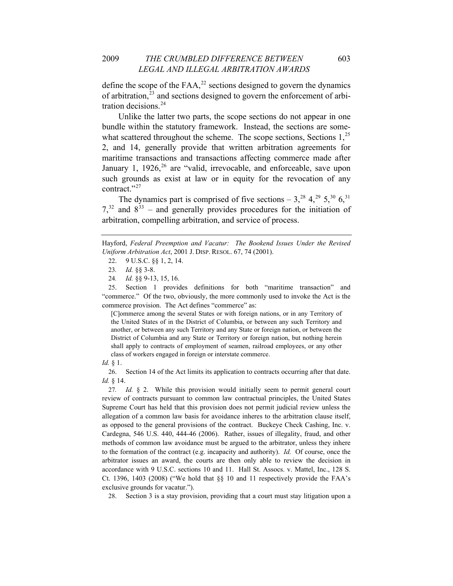define the scope of the FAA, $^{22}$  $^{22}$  $^{22}$  sections designed to govern the dynamics of arbitration, $23$  and sections designed to govern the enforcement of arbitration decisions.[24](#page-7-2)

Unlike the latter two parts, the scope sections do not appear in one bundle within the statutory framework. Instead, the sections are somewhat scattered throughout the scheme. The scope sections, Sections  $1<sup>25</sup>$  $1<sup>25</sup>$  $1<sup>25</sup>$ 2, and 14, generally provide that written arbitration agreements for maritime transactions and transactions affecting commerce made after January 1,  $1926$  $1926$ ,  $^{26}$  are "valid, irrevocable, and enforceable, save upon such grounds as exist at law or in equity for the revocation of any contract."<sup>[27](#page-7-5)</sup>

The dynamics part is comprised of five sections  $-3$ ,<sup>[28](#page-7-6)</sup>  $4$ ,<sup>[29](#page-7-7)</sup>  $5$ ,<sup>[30](#page-7-8)</sup>  $6$ ,<sup>31</sup>  $7<sup>32</sup>$  $7<sup>32</sup>$  $7<sup>32</sup>$  and  $8<sup>33</sup>$  $8<sup>33</sup>$  $8<sup>33</sup>$  – and generally provides procedures for the initiation of arbitration, compelling arbitration, and service of process.

<span id="page-7-7"></span><span id="page-7-3"></span><span id="page-7-2"></span><span id="page-7-1"></span>25. Section 1 provides definitions for both "maritime transaction" and "commerce." Of the two, obviously, the more commonly used to invoke the Act is the commerce provision. The Act defines "commerce" as:

[C]ommerce among the several States or with foreign nations, or in any Territory of the United States of in the District of Columbia, or between any such Territory and another, or between any such Territory and any State or foreign nation, or between the District of Columbia and any State or Territory or foreign nation, but nothing herein shall apply to contracts of employment of seamen, railroad employees, or any other class of workers engaged in foreign or interstate commerce.

<span id="page-7-9"></span><span id="page-7-8"></span>*Id.* § 1.

<span id="page-7-10"></span><span id="page-7-4"></span>26. Section 14 of the Act limits its application to contracts occurring after that date. *Id.* § 14.

<span id="page-7-5"></span>27*. Id.* § 2. While this provision would initially seem to permit general court review of contracts pursuant to common law contractual principles, the United States Supreme Court has held that this provision does not permit judicial review unless the allegation of a common law basis for avoidance inheres to the arbitration clause itself, as opposed to the general provisions of the contract. Buckeye Check Cashing, Inc. v. Cardegna, 546 U.S. 440, 444-46 (2006). Rather, issues of illegality, fraud, and other methods of common law avoidance must be argued to the arbitrator, unless they inhere to the formation of the contract (e.g. incapacity and authority). *Id.* Of course, once the arbitrator issues an award, the courts are then only able to review the decision in accordance with 9 U.S.C. sections 10 and 11. Hall St. Assocs. v. Mattel, Inc., 128 S. Ct. 1396, 1403 (2008) ("We hold that  $\S$ § 10 and 11 respectively provide the FAA's exclusive grounds for vacatur.").

<span id="page-7-6"></span>28. Section 3 is a stay provision, providing that a court must stay litigation upon a

<span id="page-7-0"></span>Hayford, *Federal Preemption and Vacatur: The Bookend Issues Under the Revised Uniform Arbitration Act*, 2001 J. DISP. RESOL. 67, 74 (2001).

<sup>22. 9</sup> U.S.C. §§ 1, 2, 14.

<sup>23</sup>*. Id.* §§ 3-8.

<sup>24</sup>*. Id.* §§ 9-13, 15, 16.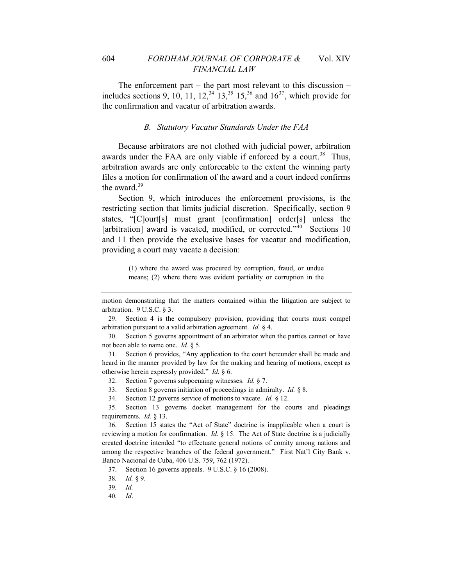The enforcement part *–* the part most relevant to this discussion *–*  includes sections 9, 10, 11, 12,<sup>[34](#page-8-0)</sup> 13,<sup>[35](#page-8-1)</sup> 15,<sup>[36](#page-8-2)</sup> and  $16^{37}$  $16^{37}$  $16^{37}$ , which provide for the confirmation and vacatur of arbitration awards.

#### *B. Statutory Vacatur Standards Under the FAA*

Because arbitrators are not clothed with judicial power, arbitration awards under the FAA are only viable if enforced by a court.<sup>[38](#page-8-4)</sup> Thus, arbitration awards are only enforceable to the extent the winning party files a motion for confirmation of the award and a court indeed confirms the award.<sup>[39](#page-8-5)</sup>

Section 9, which introduces the enforcement provisions, is the restricting section that limits judicial discretion. Specifically, section 9 states, "[C]ourt[s] must grant [confirmation] order[s] unless the [arbitration] award is vacated, modified, or corrected."<sup>[40](#page-8-6)</sup> Sections 10 and 11 then provide the exclusive bases for vacatur and modification, providing a court may vacate a decision:

> (1) where the award was procured by corruption, fraud, or undue means; (2) where there was evident partiality or corruption in the

29. Section 4 is the compulsory provision, providing that courts must compel arbitration pursuant to a valid arbitration agreement. *Id.* § 4.

30. Section 5 governs appointment of an arbitrator when the parties cannot or have not been able to name one. *Id.* § 5.

31. Section 6 provides, "Any application to the court hereunder shall be made and heard in the manner provided by law for the making and hearing of motions, except as otherwise herein expressly provided." *Id.* § 6.

32. Section 7 governs subpoenaing witnesses. *Id.* § 7.

33. Section 8 governs initiation of proceedings in admiralty. *Id.* § 8.

34. Section 12 governs service of motions to vacate. *Id.* § 12.

<span id="page-8-1"></span><span id="page-8-0"></span>35. Section 13 governs docket management for the courts and pleadings requirements. *Id.* § 13.

<span id="page-8-2"></span>36. Section 15 states the "Act of State" doctrine is inapplicable when a court is reviewing a motion for confirmation. *Id.* § 15. The Act of State doctrine is a judicially created doctrine intended "to effectuate general notions of comity among nations and among the respective branches of the federal government." First Nat'l City Bank v. Banco Nacional de Cuba, 406 U.S. 759, 762 (1972).

<span id="page-8-3"></span>37. Section 16 governs appeals. 9 U.S.C. § 16 (2008).

<span id="page-8-5"></span><span id="page-8-4"></span>38*. Id.* § 9.

39*. Id.*

<span id="page-8-6"></span>40*. Id*.

motion demonstrating that the matters contained within the litigation are subject to arbitration. 9 U.S.C. § 3.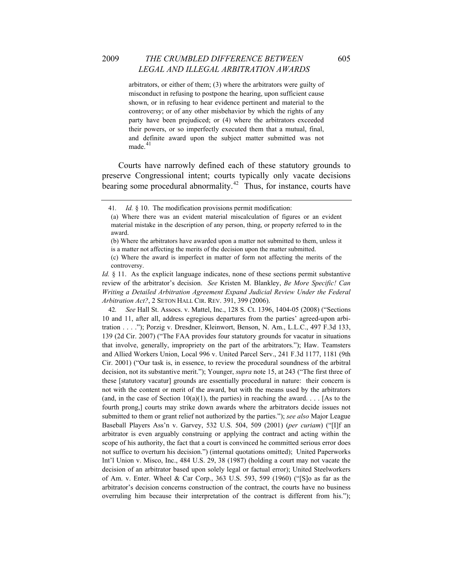arbitrators, or either of them; (3) where the arbitrators were guilty of misconduct in refusing to postpone the hearing, upon sufficient cause shown, or in refusing to hear evidence pertinent and material to the controversy; or of any other misbehavior by which the rights of any party have been prejudiced; or (4) where the arbitrators exceeded their powers, or so imperfectly executed them that a mutual, final, and definite award upon the subject matter submitted was not  $made.<sup>41</sup>$  $made.<sup>41</sup>$  $made.<sup>41</sup>$ 

Courts have narrowly defined each of these statutory grounds to preserve Congressional intent; courts typically only vacate decisions bearing some procedural abnormality.<sup>[42](#page-9-1)</sup> Thus, for instance, courts have

<span id="page-9-1"></span>42*. See* Hall St. Assocs. v. Mattel, Inc., 128 S. Ct. 1396, 1404-05 (2008) ("Sections 10 and 11, after all, address egregious departures from the parties' agreed-upon arbitration . . . ."); Porzig v. Dresdner, Kleinwort, Benson, N. Am., L.L.C., 497 F.3d 133, 139 (2d Cir. 2007) ("The FAA provides four statutory grounds for vacatur in situations that involve, generally, impropriety on the part of the arbitrators."); Haw. Teamsters and Allied Workers Union, Local 996 v. United Parcel Serv., 241 F.3d 1177, 1181 (9th Cir. 2001) ("Our task is, in essence, to review the procedural soundness of the arbitral decision, not its substantive merit."); Younger, *supra* note 15, at 243 ("The first three of these [statutory vacatur] grounds are essentially procedural in nature: their concern is not with the content or merit of the award, but with the means used by the arbitrators (and, in the case of Section 10(a)(1), the parties) in reaching the award. . . . [As to the fourth prong,] courts may strike down awards where the arbitrators decide issues not submitted to them or grant relief not authorized by the parties."); *see also* Major League Baseball Players Ass'n v. Garvey, 532 U.S. 504, 509 (2001) (*per curiam*) ("[I]f an arbitrator is even arguably construing or applying the contract and acting within the scope of his authority, the fact that a court is convinced he committed serious error does not suffice to overturn his decision.") (internal quotations omitted); United Paperworks Int'l Union v. Misco, Inc., 484 U.S. 29, 38 (1987) (holding a court may not vacate the decision of an arbitrator based upon solely legal or factual error); United Steelworkers of Am. v. Enter. Wheel & Car Corp., 363 U.S. 593, 599 (1960) ("[S]o as far as the arbitrator's decision concerns construction of the contract, the courts have no business overruling him because their interpretation of the contract is different from his.");

<span id="page-9-0"></span><sup>41</sup>*. Id.* § 10. The modification provisions permit modification:

<sup>(</sup>a) Where there was an evident material miscalculation of figures or an evident material mistake in the description of any person, thing, or property referred to in the award.

<sup>(</sup>b) Where the arbitrators have awarded upon a matter not submitted to them, unless it is a matter not affecting the merits of the decision upon the matter submitted.

<sup>(</sup>c) Where the award is imperfect in matter of form not affecting the merits of the controversy.

*Id.* § 11. As the explicit language indicates, none of these sections permit substantive review of the arbitrator's decision. *See* Kristen M. Blankley, *Be More Specific! Can*  Writing a Detailed Arbitration Agreement Expand Judicial Review Under the Federal *Arbitration Act?*, 2 SETON HALL CIR. REV. 391, 399 (2006).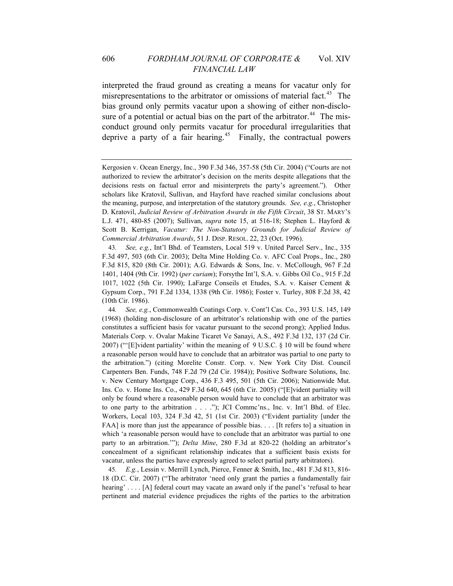interpreted the fraud ground as creating a means for vacatur only for misrepresentations to the arbitrator or omissions of material fact.<sup>[43](#page-10-0)</sup> The bias ground only permits vacatur upon a showing of either non-disclo-sure of a potential or actual bias on the part of the arbitrator.<sup>[44](#page-10-1)</sup> The misconduct ground only permits vacatur for procedural irregularities that deprive a party of a fair hearing.<sup>[45](#page-10-2)</sup> Finally, the contractual powers

<span id="page-10-0"></span>43*. See, e.g.*, Int'l Bhd. of Teamsters, Local 519 v. United Parcel Serv., Inc., 335 F.3d 497, 503 (6th Cir. 2003); Delta Mine Holding Co. v. AFC Coal Props., Inc., 280 F.3d 815, 820 (8th Cir. 2001); A.G. Edwards & Sons, Inc. v. McCollough, 967 F.2d 1401, 1404 (9th Cir. 1992) (*per curiam*); Forsythe Int'l, S.A. v. Gibbs Oil Co., 915 F.2d 1017, 1022 (5th Cir. 1990); LaFarge Conseils et Etudes, S.A. v. Kaiser Cement & Gypsum Corp., 791 F.2d 1334, 1338 (9th Cir. 1986); Foster v. Turley, 808 F.2d 38, 42 (10th Cir. 1986).

<span id="page-10-1"></span>44*. See, e.g.*, Commonwealth Coatings Corp. v. Cont'l Cas. Co., 393 U.S. 145, 149 (1968) (holding non-disclosure of an arbitrator's relationship with one of the parties constitutes a sufficient basis for vacatur pursuant to the second prong); Applied Indus. Materials Corp. v. Ovalar Makine Ticaret Ve Sanayi, A.S., 492 F.3d 132, 137 (2d Cir. 2007) ("'[E]vident partiality' within the meaning of 9 U.S.C. § 10 will be found where a reasonable person would have to conclude that an arbitrator was partial to one party to the arbitration.") (citing Morelite Constr. Corp. v. New York City Dist. Council Carpenters Ben. Funds, 748 F.2d 79 (2d Cir. 1984)); Positive Software Solutions, Inc. v. New Century Mortgage Corp., 436 F.3 495, 501 (5th Cir. 2006); Nationwide Mut. Ins. Co. v. Home Ins. Co., 429 F.3d 640, 645 (6th Cir. 2005) ("[E]vident partiality will only be found where a reasonable person would have to conclude that an arbitrator was to one party to the arbitration . . . ."); JCI Commc'ns., Inc. v. Int'l Bhd. of Elec. Workers, Local 103, 324 F.3d 42, 51 (1st Cir. 2003) ("Evident partiality [under the FAA] is more than just the appearance of possible bias. . . . [It refers to] a situation in which 'a reasonable person would have to conclude that an arbitrator was partial to one party to an arbitration.'"); *Delta Mine*, 280 F.3d at 820-22 (holding an arbitrator's concealment of a significant relationship indicates that a sufficient basis exists for vacatur, unless the parties have expressly agreed to select partial party arbitrators).

<span id="page-10-2"></span>45*. E.g.*, Lessin v. Merrill Lynch, Pierce, Fenner & Smith, Inc., 481 F.3d 813, 816- 18 (D.C. Cir. 2007) ("The arbitrator 'need only grant the parties a fundamentally fair hearing' . . . . [A] federal court may vacate an award only if the panel's 'refusal to hear pertinent and material evidence prejudices the rights of the parties to the arbitration

Kergosien v. Ocean Energy, Inc., 390 F.3d 346, 357-58 (5th Cir. 2004) ("Courts are not authorized to review the arbitrator's decision on the merits despite allegations that the decisions rests on factual error and misinterprets the party's agreement."). Other scholars like Kratovil, Sullivan, and Hayford have reached similar conclusions about the meaning, purpose, and interpretation of the statutory grounds. *See, e.g.*, Christopher D. Kratovil, *Judicial Review of Arbitration Awards in the Fifth Circuit*, 38 ST. MARY'S L.J. 471, 480-85 (2007); Sullivan, *supra* note 15, at 516-18; Stephen L. Hayford & Scott B. Kerrigan, *Vacatur: The Non-Statutory Grounds for Judicial Review of Commercial Arbitration Awards*, 51 J. DISP. RESOL. 22, 23 (Oct. 1996).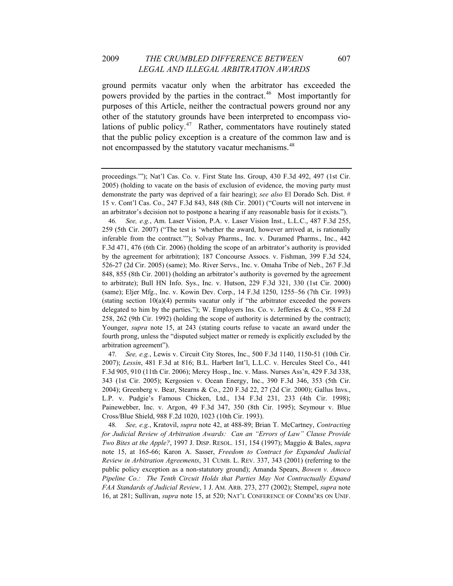ground permits vacatur only when the arbitrator has exceeded the powers provided by the parties in the contract.<sup>[46](#page-11-0)</sup> Most importantly for purposes of this Article, neither the contractual powers ground nor any other of the statutory grounds have been interpreted to encompass violations of public policy. $47$  Rather, commentators have routinely stated that the public policy exception is a creature of the common law and is not encompassed by the statutory vacatur mechanisms.<sup>[48](#page-11-2)</sup>

<span id="page-11-0"></span>46*. See, e.g.*, Am. Laser Vision, P.A. v. Laser Vision Inst., L.L.C., 487 F.3d 255, 259 (5th Cir. 2007) ("The test is 'whether the award, however arrived at, is rationally inferable from the contract.'"); Solvay Pharms., Inc. v. Duramed Pharms., Inc., 442 F.3d 471, 476 (6th Cir. 2006) (holding the scope of an arbitrator's authority is provided by the agreement for arbitration); 187 Concourse Assocs. v. Fishman, 399 F.3d 524, 526-27 (2d Cir. 2005) (same); Mo. River Servs., Inc. v. Omaha Tribe of Neb., 267 F.3d 848, 855 (8th Cir. 2001) (holding an arbitrator's authority is governed by the agreement to arbitrate); Bull HN Info. Sys., Inc. v. Hutson, 229 F.3d 321, 330 (1st Cir. 2000) (same); Eljer Mfg., Inc. v. Kowin Dev. Corp., 14 F.3d 1250, 1255–56 (7th Cir. 1993) (stating section  $10(a)(4)$  permits vacatur only if "the arbitrator exceeded the powers delegated to him by the parties."); W. Employers Ins. Co. v. Jefferies & Co., 958 F.2d 258, 262 (9th Cir. 1992) (holding the scope of authority is determined by the contract); Younger, *supra* note 15, at 243 (stating courts refuse to vacate an award under the fourth prong, unless the "disputed subject matter or remedy is explicitly excluded by the arbitration agreement").

<span id="page-11-1"></span>47*. See, e.g.*, Lewis v. Circuit City Stores, Inc., 500 F.3d 1140, 1150-51 (10th Cir. 2007); *Lessin*, 481 F.3d at 816; B.L. Harbert Int'l, L.L.C. v. Hercules Steel Co., 441 F.3d 905, 910 (11th Cir. 2006); Mercy Hosp., Inc. v. Mass. Nurses Ass'n, 429 F.3d 338, 343 (1st Cir. 2005); Kergosien v. Ocean Energy, Inc., 390 F.3d 346, 353 (5th Cir. 2004); Greenberg v. Bear, Stearns & Co., 220 F.3d 22, 27 (2d Cir. 2000); Gallus Invs., L.P. v. Pudgie's Famous Chicken, Ltd., 134 F.3d 231, 233 (4th Cir. 1998); Painewebber, Inc. v. Argon, 49 F.3d 347, 350 (8th Cir. 1995); Seymour v. Blue Cross/Blue Shield, 988 F.2d 1020, 1023 (10th Cir. 1993).

<span id="page-11-2"></span>48*. See, e.g.*, Kratovil, *supra* note 42, at 488-89; Brian T. McCartney, *Contracting for Judicial Review of Arbitration Awards: Can an "Errors of Law" Clause Provide Two Bites at the Apple?*, 1997 J. DISP. RESOL. 151, 154 (1997); Maggio & Bales, *supra*  note 15, at 165-66; Karon A. Sasser, *Freedom to Contract for Expanded Judicial Review in Arbitration Agreements*, 31 CUMB. L. REV. 337, 343 (2001) (referring to the public policy exception as a non-statutory ground); Amanda Spears, *Bowen v. Amoco Pipeline Co.: The Tenth Circuit Holds that Parties May Not Contractually Expand FAA Standards of Judicial Review*, 1 J. AM. ARB. 273, 277 (2002); Stempel, *supra* note 16, at 281; Sullivan, *supra* note 15, at 520; NAT'L CONFERENCE OF COMM'RS ON UNIF.

proceedings.'"); Nat'l Cas. Co. v. First State Ins. Group, 430 F.3d 492, 497 (1st Cir. 2005) (holding to vacate on the basis of exclusion of evidence, the moving party must demonstrate the party was deprived of a fair hearing); *see also* El Dorado Sch. Dist. # 15 v. Cont'l Cas. Co., 247 F.3d 843, 848 (8th Cir. 2001) ("Courts will not intervene in an arbitrator's decision not to postpone a hearing if any reasonable basis for it exists.").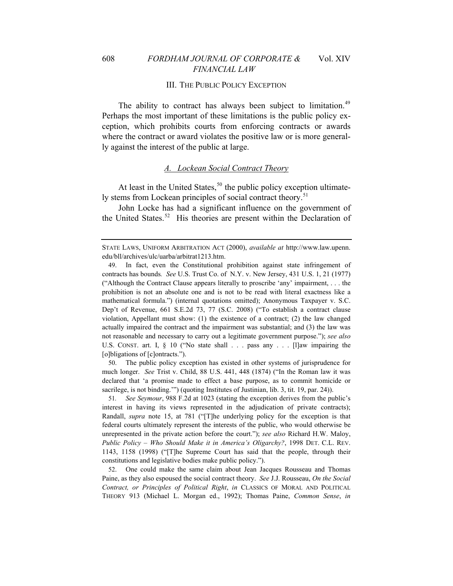#### III. THE PUBLIC POLICY EXCEPTION

The ability to contract has always been subject to limitation.<sup>[49](#page-12-0)</sup> Perhaps the most important of these limitations is the public policy exception, which prohibits courts from enforcing contracts or awards where the contract or award violates the positive law or is more generally against the interest of the public at large.

# *A. Lockean Social Contract Theory*

At least in the United States,  $50$  the public policy exception ultimate-ly stems from Lockean principles of social contract theory.<sup>[51](#page-12-2)</sup>

John Locke has had a significant influence on the government of the United States.<sup>[52](#page-12-3)</sup> His theories are present within the Declaration of

<span id="page-12-1"></span>50. The public policy exception has existed in other systems of jurisprudence for much longer. *See* Trist v. Child, 88 U.S. 441, 448 (1874) ("In the Roman law it was declared that 'a promise made to effect a base purpose, as to commit homicide or sacrilege, is not binding.'") (quoting Institutes of Justinian, lib. 3, tit. 19, par. 24)).

<span id="page-12-2"></span>51*. See Seymour*, 988 F.2d at 1023 (stating the exception derives from the public's interest in having its views represented in the adjudication of private contracts); Randall, *supra* note 15, at 781 ("[T]he underlying policy for the exception is that federal courts ultimately represent the interests of the public, who would otherwise be unrepresented in the private action before the court."); *see also* Richard H.W. Maloy, *Public Policy – Who Should Make it in America's Oligarchy?*, 1998 DET. C.L. REV. 1143, 1158 (1998) ("[T]he Supreme Court has said that the people, through their constitutions and legislative bodies make public policy.").

<span id="page-12-3"></span>52. One could make the same claim about Jean Jacques Rousseau and Thomas Paine, as they also espoused the social contract theory. *See* J.J. Rousseau, *On the Social Contract, or Principles of Political Right*, *in* CLASSICS OF MORAL AND POLITICAL THEORY 913 (Michael L. Morgan ed., 1992); Thomas Paine, *Common Sense*, *in*

STATE LAWS, UNIFORM ARBITRATION ACT (2000), *available at* http://www.law.upenn. edu/bll/archives/ulc/uarba/arbitrat1213.htm.

<span id="page-12-0"></span><sup>49.</sup> In fact, even the Constitutional prohibition against state infringement of contracts has bounds*. See* U.S. Trust Co. of N.Y. v. New Jersey, 431 U.S. 1, 21 (1977) ("Although the Contract Clause appears literally to proscribe 'any' impairment, . . . the prohibition is not an absolute one and is not to be read with literal exactness like a mathematical formula.") (internal quotations omitted); Anonymous Taxpayer v. S.C. Dep't of Revenue, 661 S.E.2d 73, 77 (S.C. 2008) ("To establish a contract clause violation, Appellant must show: (1) the existence of a contract; (2) the law changed actually impaired the contract and the impairment was substantial; and (3) the law was not reasonable and necessary to carry out a legitimate government purpose."); *see also* U.S. CONST. art. I, § 10 ("No state shall . . . pass any . . . [l]aw impairing the [o]bligations of [c]ontracts.").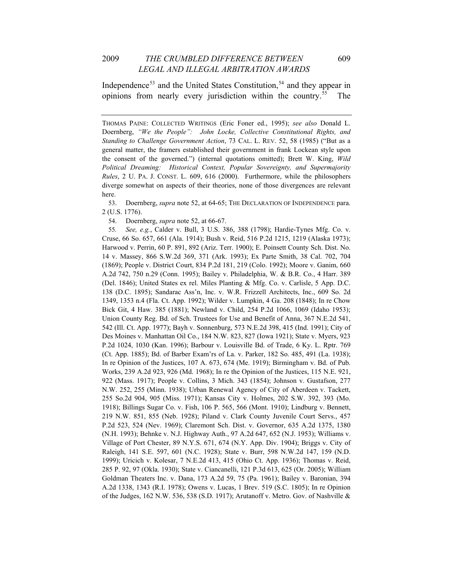Independence<sup>[53](#page-13-0)</sup> and the United States Constitution,<sup>[54](#page-13-1)</sup> and they appear in opinions from nearly every jurisdiction within the country.[55](#page-13-2) The

<span id="page-13-0"></span>53. Doernberg, *supra* note 52, at 64-65; THE DECLARATION OF INDEPENDENCE para. 2 (U.S. 1776).

54. Doernberg, *supra* note 52, at 66-67.

<span id="page-13-2"></span><span id="page-13-1"></span>55*. See, e.g.*, Calder v. Bull, 3 U.S. 386, 388 (1798); Hardie-Tynes Mfg. Co. v. Cruse, 66 So. 657, 661 (Ala. 1914); Bush v. Reid, 516 P.2d 1215, 1219 (Alaska 1973); Harwood v. Perrin, 60 P. 891, 892 (Ariz. Terr. 1900); E. Poinsett County Sch. Dist. No. 14 v. Massey, 866 S.W.2d 369, 371 (Ark. 1993); Ex Parte Smith, 38 Cal. 702, 704 (1869); People v. District Court, 834 P.2d 181, 219 (Colo. 1992); Moore v. Ganim, 660 A.2d 742, 750 n.29 (Conn. 1995); Bailey v. Philadelphia, W. & B.R. Co., 4 Harr. 389 (Del. 1846); United States ex rel. Miles Planting & Mfg. Co. v. Carlisle, 5 App. D.C. 138 (D.C. 1895); Sandarac Ass'n, Inc. v. W.R. Frizzell Architects, Inc., 609 So. 2d 1349, 1353 n.4 (Fla. Ct. App. 1992); Wilder v. Lumpkin, 4 Ga. 208 (1848); In re Chow Bick Git, 4 Haw. 385 (1881); Newland v. Child, 254 P.2d 1066, 1069 (Idaho 1953); Union County Reg. Bd. of Sch. Trustees for Use and Benefit of Anna, 367 N.E.2d 541, 542 (Ill. Ct. App. 1977); Bayh v. Sonnenburg, 573 N.E.2d 398, 415 (Ind. 1991); City of Des Moines v. Manhattan Oil Co., 184 N.W. 823, 827 (Iowa 1921); State v. Myers, 923 P.2d 1024, 1030 (Kan. 1996); Barbour v. Louisville Bd. of Trade, 6 Ky. L. Rptr. 769 (Ct. App. 1885); Bd. of Barber Exam'rs of La. v. Parker, 182 So. 485, 491 (La. 1938); In re Opinion of the Justices, 107 A. 673, 674 (Me. 1919); Birmingham v. Bd. of Pub. Works, 239 A.2d 923, 926 (Md. 1968); In re the Opinion of the Justices, 115 N.E. 921, 922 (Mass. 1917); People v. Collins, 3 Mich. 343 (1854); Johnson v. Gustafson, 277 N.W. 252, 255 (Minn. 1938); Urban Renewal Agency of City of Aberdeen v. Tackett, 255 So.2d 904, 905 (Miss. 1971); Kansas City v. Holmes, 202 S.W. 392, 393 (Mo. 1918); Billings Sugar Co. v. Fish, 106 P. 565, 566 (Mont. 1910); Lindburg v. Bennett, 219 N.W. 851, 855 (Neb. 1928); Piland v. Clark County Juvenile Court Servs., 457 P.2d 523, 524 (Nev. 1969); Claremont Sch. Dist. v. Governor, 635 A.2d 1375, 1380 (N.H. 1993); Behnke v. N.J. Highway Auth., 97 A.2d 647, 652 (N.J. 1953); Williams v. Village of Port Chester, 89 N.Y.S. 671, 674 (N.Y. App. Div. 1904); Briggs v. City of Raleigh, 141 S.E. 597, 601 (N.C. 1928); State v. Burr, 598 N.W.2d 147, 159 (N.D. 1999); Uricich v. Kolesar, 7 N.E.2d 413, 415 (Ohio Ct. App. 1936); Thomas v. Reid, 285 P. 92, 97 (Okla. 1930); State v. Ciancanelli, 121 P.3d 613, 625 (Or. 2005); William Goldman Theaters Inc. v. Dana, 173 A.2d 59, 75 (Pa. 1961); Bailey v. Baronian, 394 A.2d 1338, 1343 (R.I. 1978); Owens v. Lucas, 1 Brev. 519 (S.C. 1805); In re Opinion of the Judges, 162 N.W. 536, 538 (S.D. 1917); Arutanoff v. Metro. Gov. of Nashville &

THOMAS PAINE: COLLECTED WRITINGS (Eric Foner ed., 1995); *see also* Donald L. Doernberg, *"We the People": John Locke, Collective Constitutional Rights, and Standing to Challenge Government Action*, 73 CAL. L. REV. 52, 58 (1985) ("But as a general matter, the framers established their government in frank Lockean style upon the consent of the governed.") (internal quotations omitted); Brett W. King, *Wild Political Dreaming: Historical Context, Popular Sovereignty, and Supermajority Rules*, 2 U. PA. J. CONST. L. 609, 616 (2000). Furthermore, while the philosophers diverge somewhat on aspects of their theories, none of those divergences are relevant here.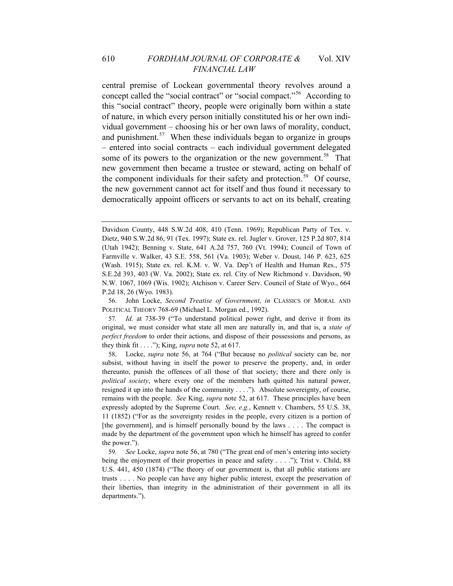central premise of Lockean governmental theory revolves around a concept called the "social contract" or "social compact."[56](#page-14-0) According to this "social contract" theory, people were originally born within a state of nature, in which every person initially constituted his or her own individual government *–* choosing his or her own laws of morality, conduct, and punishment.<sup>[57](#page-14-1)</sup> When these individuals began to organize in groups – entered into social contracts – each individual government delegated some of its powers to the organization or the new government.<sup>[58](#page-14-2)</sup> That new government then became a trustee or steward, acting on behalf of the component individuals for their safety and protection.<sup>[59](#page-14-3)</sup> Of course, the new government cannot act for itself and thus found it necessary to democratically appoint officers or servants to act on its behalf, creating

<span id="page-14-0"></span>56. John Locke, *Second Treatise of Government*, *in* CLASSICS OF MORAL AND POLITICAL THEORY 768-69 (Michael L. Morgan ed., 1992).

<span id="page-14-2"></span>58. Locke, *supra* note 56, at 764 ("But because no *political* society can be, nor subsist, without having in itself the power to preserve the property, and, in order thereunto, punish the offences of all those of that society; there and there only is *political society*, where every one of the members hath quitted his natural power, resigned it up into the hands of the community . . . ."). Absolute sovereignty, of course, remains with the people. *See* King, *supra* note 52, at 617. These principles have been expressly adopted by the Supreme Court. *See, e.g.*, Kennett v. Chambers, 55 U.S. 38, 11 (1852) ("For as the sovereignty resides in the people, every citizen is a portion of [the government], and is himself personally bound by the laws . . . . The compact is made by the department of the government upon which he himself has agreed to confer the power.").

<span id="page-14-3"></span>59*. See* Locke, *supra* note 56, at 780 ("The great end of men's entering into society being the enjoyment of their properties in peace and safety . . . ."); Trist v. Child, 88 U.S. 441, 450 (1874) ("The theory of our government is, that all public stations are trusts . . . . No people can have any higher public interest, except the preservation of their liberties, than integrity in the administration of their government in all its departments.").

Davidson County, 448 S.W.2d 408, 410 (Tenn. 1969); Republican Party of Tex. v. Dietz, 940 S.W.2d 86, 91 (Tex. 1997); State ex. rel. Jugler v. Grover, 125 P.2d 807, 814 (Utah 1942); Benning v. State, 641 A.2d 757, 760 (Vt. 1994); Council of Town of Farmville v. Walker, 43 S.E. 558, 561 (Va. 1903); Weber v. Doust, 146 P. 623, 625 (Wash. 1915); State ex. rel. K.M. v. W. Va. Dep't of Health and Human Res., 575 S.E.2d 393, 403 (W. Va. 2002); State ex. rel. City of New Richmond v. Davidson, 90 N.W. 1067, 1069 (Wis. 1902); Atchison v. Career Serv. Council of State of Wyo., 664 P.2d 18, 26 (Wyo. 1983).

<span id="page-14-1"></span><sup>57</sup>*. Id.* at 738-39 ("To understand political power right, and derive it from its original, we must consider what state all men are naturally in, and that is, a *state of perfect freedom* to order their actions, and dispose of their possessions and persons, as they think fit . . . ."); King, *supra* note 52, at 617.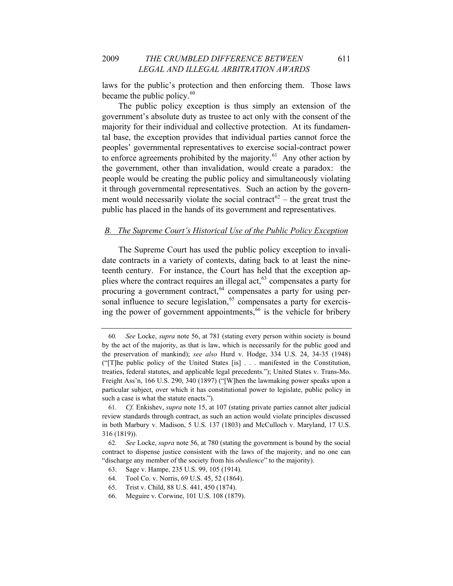laws for the public's protection and then enforcing them. Those laws became the public policy. $60$ 

The public policy exception is thus simply an extension of the government's absolute duty as trustee to act only with the consent of the majority for their individual and collective protection. At its fundamental base, the exception provides that individual parties cannot force the peoples' governmental representatives to exercise social-contract power to enforce agreements prohibited by the majority.<sup>[61](#page-15-1)</sup> Any other action by the government, other than invalidation, would create a paradox: the people would be creating the public policy and simultaneously violating it through governmental representatives. Such an action by the government would necessarily violate the social contract<sup> $62$ </sup> – the great trust the public has placed in the hands of its government and representatives.

#### *B. The Supreme Court's Historical Use of the Public Policy Exception*

The Supreme Court has used the public policy exception to invalidate contracts in a variety of contexts, dating back to at least the nineteenth century. For instance, the Court has held that the exception applies where the contract requires an illegal act,  $63$  compensates a party for procuring a government contract,  $64$  compensates a party for using personal influence to secure legislation,  $65$  compensates a party for exercis-ing the power of government appointments,<sup>[66](#page-15-6)</sup> is the vehicle for bribery

<span id="page-15-0"></span><sup>60</sup>*. See* Locke, *supra* note 56, at 781 (stating every person within society is bound by the act of the majority, as that is law, which is necessarily for the public good and the preservation of mankind); *see also* Hurd v. Hodge, 334 U.S. 24, 34-35 (1948) ("[T]he public policy of the United States [is] . . . manifested in the Constitution, treaties, federal statutes, and applicable legal precedents."); United States v. Trans-Mo. Freight Ass'n, 166 U.S. 290, 340 (1897) ("[W]hen the lawmaking power speaks upon a particular subject, over which it has constitutional power to legislate, public policy in such a case is what the statute enacts.").

<span id="page-15-1"></span><sup>61</sup>*. Cf.* Enkishev, *supra* note 15, at 107 (stating private parties cannot alter judicial review standards through contract, as such an action would violate principles discussed in both Marbury v. Madison, 5 U.S. 137 (1803) and McCulloch v. Maryland, 17 U.S. 316 (1819)).

<span id="page-15-4"></span><span id="page-15-3"></span><span id="page-15-2"></span><sup>62</sup>*. See* Locke, *supra* note 56, at 780 (stating the government is bound by the social contract to dispense justice consistent with the laws of the majority, and no one can "discharge any member of the society from his *obedience*" to the majority).

<sup>63.</sup> Sage v. Hampe, 235 U.S. 99, 105 (1914).

<sup>64.</sup> Tool Co. v. Norris, 69 U.S. 45, 52 (1864).

<span id="page-15-5"></span><sup>65.</sup> Trist v. Child, 88 U.S. 441, 450 (1874).

<span id="page-15-6"></span><sup>66.</sup> Meguire v. Corwine, 101 U.S. 108 (1879).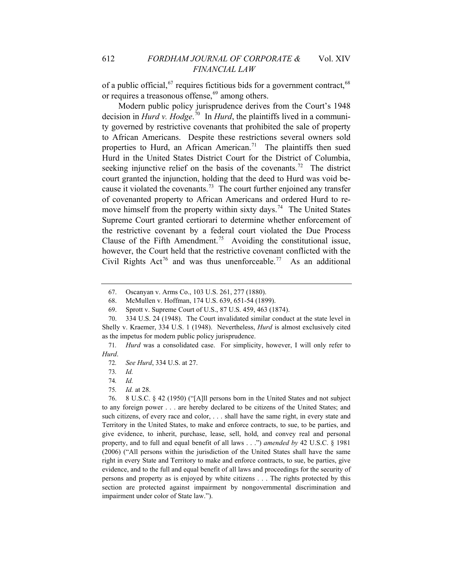of a public official,  $67$  requires fictitious bids for a government contract,  $68$ or requires a treasonous offense, $69$  among others.

Modern public policy jurisprudence derives from the Court's 1948 decision in *Hurd v. Hodge*. [70](#page-16-3) In *Hurd*, the plaintiffs lived in a community governed by restrictive covenants that prohibited the sale of property to African Americans. Despite these restrictions several owners sold properties to Hurd, an African American.<sup>[71](#page-16-4)</sup> The plaintiffs then sued Hurd in the United States District Court for the District of Columbia, seeking injunctive relief on the basis of the covenants.<sup>[72](#page-16-5)</sup> The district court granted the injunction, holding that the deed to Hurd was void be-cause it violated the covenants.<sup>[73](#page-16-6)</sup> The court further enjoined any transfer of covenanted property to African Americans and ordered Hurd to re-move himself from the property within sixty days.<sup>[74](#page-16-7)</sup> The United States Supreme Court granted certiorari to determine whether enforcement of the restrictive covenant by a federal court violated the Due Process Clause of the Fifth Amendment.<sup>[75](#page-16-8)</sup> Avoiding the constitutional issue, however, the Court held that the restrictive covenant conflicted with the Civil Rights Act<sup>[76](#page-16-9)</sup> and was thus unenforceable.<sup>[77](#page-16-7)</sup> As an additional

<sup>67.</sup> Oscanyan v. Arms Co., 103 U.S. 261, 277 (1880).

<sup>68.</sup> McMullen v. Hoffman, 174 U.S. 639, 651-54 (1899).

<sup>69.</sup> Sprott v. Supreme Court of U.S., 87 U.S. 459, 463 (1874).

<span id="page-16-3"></span><span id="page-16-2"></span><span id="page-16-1"></span><span id="page-16-0"></span><sup>70. 334</sup> U.S. 24 (1948). The Court invalidated similar conduct at the state level in Shelly v. Kraemer, 334 U.S. 1 (1948). Nevertheless, *Hurd* is almost exclusively cited as the impetus for modern public policy jurisprudence.

<span id="page-16-6"></span><span id="page-16-5"></span><span id="page-16-4"></span><sup>71</sup>*. Hurd* was a consolidated case. For simplicity, however, I will only refer to *Hurd*.

<sup>72</sup>*. See Hurd*, 334 U.S. at 27.

<sup>73</sup>*. Id.*

<sup>74</sup>*. Id.*

<sup>75</sup>*. Id.* at 28.

<span id="page-16-9"></span><span id="page-16-8"></span><span id="page-16-7"></span><sup>76. 8</sup> U.S.C. § 42 (1950) ("[A]ll persons born in the United States and not subject to any foreign power . . . are hereby declared to be citizens of the United States; and such citizens, of every race and color, . . . shall have the same right, in every state and Territory in the United States, to make and enforce contracts, to sue, to be parties, and give evidence, to inherit, purchase, lease, sell, hold, and convey real and personal property, and to full and equal benefit of all laws . . .") *amended by* 42 U.S.C. § 1981 (2006) ("All persons within the jurisdiction of the United States shall have the same right in every State and Territory to make and enforce contracts, to sue, be parties, give evidence, and to the full and equal benefit of all laws and proceedings for the security of persons and property as is enjoyed by white citizens . . . The rights protected by this section are protected against impairment by nongovernmental discrimination and impairment under color of State law.").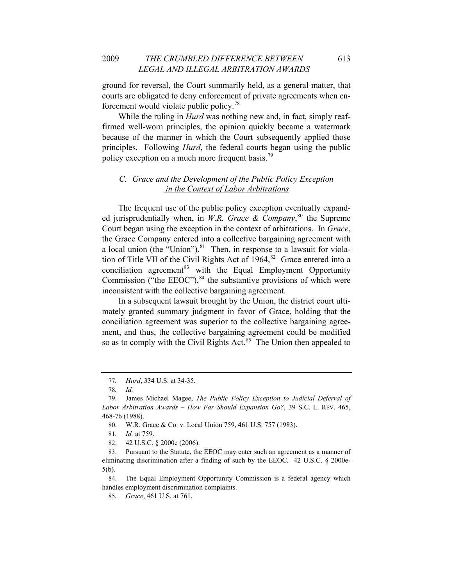ground for reversal, the Court summarily held, as a general matter, that courts are obligated to deny enforcement of private agreements when enforcement would violate public policy.[78](#page-17-0)

While the ruling in *Hurd* was nothing new and, in fact, simply reaffirmed well-worn principles, the opinion quickly became a watermark because of the manner in which the Court subsequently applied those principles. Following *Hurd*, the federal courts began using the public policy exception on a much more frequent basis.<sup>[79](#page-17-1)</sup>

# *C. Grace and the Development of the Public Policy Exception in the Context of Labor Arbitrations*

The frequent use of the public policy exception eventually expanded jurisprudentially when, in *W.R. Grace & Company*, [80](#page-17-2) the Supreme Court began using the exception in the context of arbitrations. In *Grace*, the Grace Company entered into a collective bargaining agreement with a local union (the "Union"). $81$  Then, in response to a lawsuit for violation of Title VII of the Civil Rights Act of  $1964$ ,<sup>[82](#page-17-4)</sup> Grace entered into a conciliation agreement<sup>[83](#page-17-5)</sup> with the Equal Employment Opportunity Commission ("the EEOC"), $84$  the substantive provisions of which were inconsistent with the collective bargaining agreement.

In a subsequent lawsuit brought by the Union, the district court ultimately granted summary judgment in favor of Grace, holding that the conciliation agreement was superior to the collective bargaining agreement, and thus, the collective bargaining agreement could be modified so as to comply with the Civil Rights Act.<sup>[85](#page-17-7)</sup> The Union then appealed to

<sup>77</sup>*. Hurd*, 334 U.S. at 34-35.

<sup>78</sup>*. Id.*

<span id="page-17-2"></span><span id="page-17-1"></span><span id="page-17-0"></span><sup>79.</sup> James Michael Magee, *The Public Policy Exception to Judicial Deferral of Labor Arbitration Awards – How Far Should Expansion Go?*, 39 S.C. L. REV. 465, 468-76 (1988).

<sup>80.</sup> W.R. Grace & Co. v. Local Union 759, 461 U.S. 757 (1983).

<sup>81</sup>*. Id.* at 759.

<sup>82. 42</sup> U.S.C. § 2000e (2006).

<span id="page-17-5"></span><span id="page-17-4"></span><span id="page-17-3"></span><sup>83.</sup> Pursuant to the Statute, the EEOC may enter such an agreement as a manner of eliminating discrimination after a finding of such by the EEOC. 42 U.S.C. § 2000e-5(b).

<span id="page-17-7"></span><span id="page-17-6"></span><sup>84.</sup> The Equal Employment Opportunity Commission is a federal agency which handles employment discrimination complaints.

<sup>85</sup>*. Grace*, 461 U.S. at 761.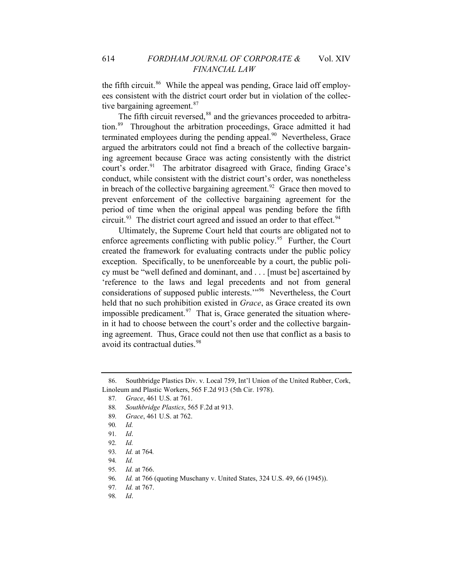the fifth circuit.<sup>[86](#page-18-0)</sup> While the appeal was pending, Grace laid off employees consistent with the district court order but in violation of the collec-tive bargaining agreement.<sup>[87](#page-18-1)</sup>

The fifth circuit reversed,<sup>[88](#page-18-2)</sup> and the grievances proceeded to arbitration.[89](#page-18-3) Throughout the arbitration proceedings, Grace admitted it had terminated employees during the pending appeal.<sup>[90](#page-18-4)</sup> Nevertheless, Grace argued the arbitrators could not find a breach of the collective bargaining agreement because Grace was acting consistently with the district court's order.<sup>[91](#page-18-5)</sup> The arbitrator disagreed with Grace, finding Grace's conduct, while consistent with the district court's order, was nonetheless in breach of the collective bargaining agreement.<sup>[92](#page-18-6)</sup> Grace then moved to prevent enforcement of the collective bargaining agreement for the period of time when the original appeal was pending before the fifth circuit.<sup>[93](#page-18-7)</sup> The district court agreed and issued an order to that effect.<sup>[94](#page-18-8)</sup>

Ultimately, the Supreme Court held that courts are obligated not to enforce agreements conflicting with public policy.<sup>[95](#page-18-9)</sup> Further, the Court created the framework for evaluating contracts under the public policy exception. Specifically, to be unenforceable by a court, the public policy must be "well defined and dominant, and . . . [must be] ascertained by 'reference to the laws and legal precedents and not from general considerations of supposed public interests.'"[96](#page-18-10) Nevertheless, the Court held that no such prohibition existed in *Grace*, as Grace created its own impossible predicament. $97$  That is, Grace generated the situation wherein it had to choose between the court's order and the collective bargaining agreement. Thus, Grace could not then use that conflict as a basis to avoid its contractual duties.<sup>[98](#page-18-12)</sup>

<span id="page-18-3"></span><span id="page-18-2"></span><span id="page-18-1"></span><span id="page-18-0"></span><sup>86.</sup> Southbridge Plastics Div. v. Local 759, Int'l Union of the United Rubber, Cork, Linoleum and Plastic Workers, 565 F.2d 913 (5th Cir. 1978).

<sup>87</sup>*. Grace*, 461 U.S. at 761.

<sup>88</sup>*. Southbridge Plastics*, 565 F.2d at 913.

<span id="page-18-4"></span><sup>89</sup>*. Grace*, 461 U.S. at 762.

<span id="page-18-5"></span><sup>90</sup>*. Id.*

<sup>91</sup>*. Id*.

<sup>92</sup>*. Id.*

<span id="page-18-8"></span><span id="page-18-7"></span><span id="page-18-6"></span><sup>93</sup>*. Id.* at 764*.*

<sup>94</sup>*. Id.*

<span id="page-18-10"></span><span id="page-18-9"></span><sup>95</sup>*. Id.* at 766.

<sup>96</sup>*. Id.* at 766 (quoting Muschany v. United States, 324 U.S. 49, 66 (1945)).

<span id="page-18-11"></span><sup>97</sup>*. Id.* at 767.

<span id="page-18-12"></span><sup>98</sup>*. Id*.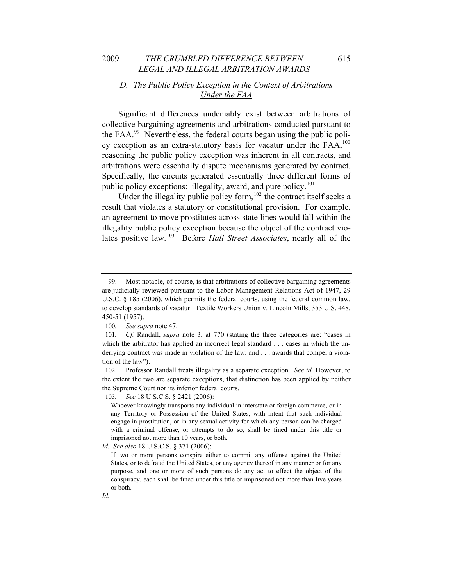# *D. The Public Policy Exception in the Context of Arbitrations Under the FAA*

Significant differences undeniably exist between arbitrations of collective bargaining agreements and arbitrations conducted pursuant to the FAA.[99](#page-19-0) Nevertheless, the federal courts began using the public policy exception as an extra-statutory basis for vacatur under the  $FAA$ ,<sup>[100](#page-19-1)</sup>, reasoning the public policy exception was inherent in all contracts, and arbitrations were essentially dispute mechanisms generated by contract. Specifically, the circuits generated essentially three different forms of public policy exceptions: illegality, award, and pure policy.<sup>[101](#page-19-2)</sup>

Under the illegality public policy form,  $102$  the contract itself seeks a result that violates a statutory or constitutional provision. For example, an agreement to move prostitutes across state lines would fall within the illegality public policy exception because the object of the contract violates positive law.[103](#page-19-4) Before *Hall Street Associates*, nearly all of the

<span id="page-19-0"></span><sup>99.</sup> Most notable, of course, is that arbitrations of collective bargaining agreements are judicially reviewed pursuant to the Labor Management Relations Act of 1947, 29 U.S.C. § 185 (2006), which permits the federal courts, using the federal common law, to develop standards of vacatur. Textile Workers Union v. Lincoln Mills, 353 U.S. 448, 450-51 (1957).

<sup>100</sup>*. See supra* note 47.

<span id="page-19-2"></span><span id="page-19-1"></span><sup>101</sup>*. Cf.* Randall, *supra* note 3, at 770 (stating the three categories are: "cases in which the arbitrator has applied an incorrect legal standard . . . cases in which the underlying contract was made in violation of the law; and . . . awards that compel a violation of the law").

<span id="page-19-4"></span><span id="page-19-3"></span><sup>102.</sup> Professor Randall treats illegality as a separate exception. *See id.* However, to the extent the two are separate exceptions, that distinction has been applied by neither the Supreme Court nor its inferior federal courts.

<sup>103</sup>*. See* 18 U.S.C.S. § 2421 (2006):

Whoever knowingly transports any individual in interstate or foreign commerce, or in any Territory or Possession of the United States, with intent that such individual engage in prostitution, or in any sexual activity for which any person can be charged with a criminal offense, or attempts to do so, shall be fined under this title or imprisoned not more than 10 years, or both.

*Id. See also* 18 U.S.C.S. § 371 (2006):

If two or more persons conspire either to commit any offense against the United States, or to defraud the United States, or any agency thereof in any manner or for any purpose, and one or more of such persons do any act to effect the object of the conspiracy, each shall be fined under this title or imprisoned not more than five years or both.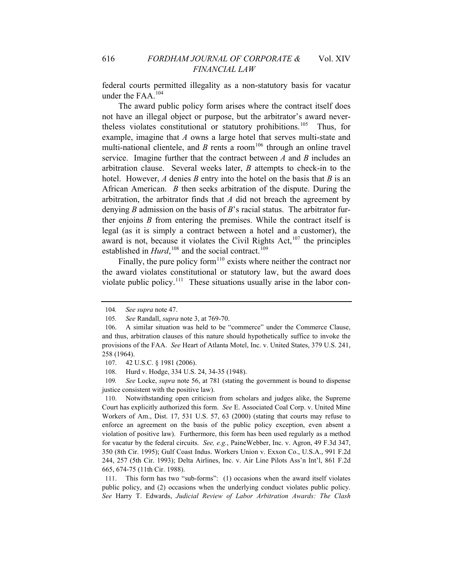federal courts permitted illegality as a non-statutory basis for vacatur under the FAA.<sup>[104](#page-20-0)</sup>

The award public policy form arises where the contract itself does not have an illegal object or purpose, but the arbitrator's award never-theless violates constitutional or statutory prohibitions.<sup>[105](#page-20-1)</sup> Thus, for example, imagine that *A* owns a large hotel that serves multi-state and multi-national clientele, and *B* rents a room<sup>[106](#page-20-2)</sup> through an online travel service. Imagine further that the contract between *A* and *B* includes an arbitration clause. Several weeks later, *B* attempts to check-in to the hotel. However, *A* denies *B* entry into the hotel on the basis that *B* is an African American. *B* then seeks arbitration of the dispute. During the arbitration, the arbitrator finds that *A* did not breach the agreement by denying *B* admission on the basis of *B*'s racial status. The arbitrator further enjoins *B* from entering the premises. While the contract itself is legal (as it is simply a contract between a hotel and a customer), the award is not, because it violates the Civil Rights Act, $107$  the principles established in  $Hurd$ ,<sup>[108](#page-20-4)</sup> and the social contract.<sup>[109](#page-20-5)</sup>

Finally, the pure policy form<sup>[110](#page-20-6)</sup> exists where neither the contract nor the award violates constitutional or statutory law, but the award does violate public policy.<sup>[111](#page-20-7)</sup> These situations usually arise in the labor con-

<span id="page-20-5"></span><span id="page-20-4"></span><span id="page-20-3"></span>109*. See* Locke, *supra* note 56, at 781 (stating the government is bound to dispense justice consistent with the positive law).

<span id="page-20-6"></span>110. Notwithstanding open criticism from scholars and judges alike, the Supreme Court has explicitly authorized this form. *See* E. Associated Coal Corp. v. United Mine Workers of Am., Dist. 17, 531 U.S. 57, 63 (2000) (stating that courts may refuse to enforce an agreement on the basis of the public policy exception, even absent a violation of positive law). Furthermore, this form has been used regularly as a method for vacatur by the federal circuits. *See, e.g.*, PaineWebber, Inc. v. Agron, 49 F.3d 347, 350 (8th Cir. 1995); Gulf Coast Indus. Workers Union v. Exxon Co., U.S.A., 991 F.2d 244, 257 (5th Cir. 1993); Delta Airlines, Inc. v. Air Line Pilots Ass'n Int'l, 861 F.2d 665, 674-75 (11th Cir. 1988).

<span id="page-20-7"></span>111. This form has two "sub-forms": (1) occasions when the award itself violates public policy, and (2) occasions when the underlying conduct violates public policy. *See* Harry T. Edwards, *Judicial Review of Labor Arbitration Awards: The Clash* 

<sup>104</sup>*. See supra* note 47.

<sup>105</sup>*. See* Randall, *supra* note 3, at 769-70.

<span id="page-20-2"></span><span id="page-20-1"></span><span id="page-20-0"></span><sup>106.</sup> A similar situation was held to be "commerce" under the Commerce Clause, and thus, arbitration clauses of this nature should hypothetically suffice to invoke the provisions of the FAA. *See* Heart of Atlanta Motel, Inc. v. United States, 379 U.S. 241, 258 (1964).

<sup>107. 42</sup> U.S.C. § 1981 (2006).

<sup>108.</sup> Hurd v. Hodge, 334 U.S. 24, 34-35 (1948).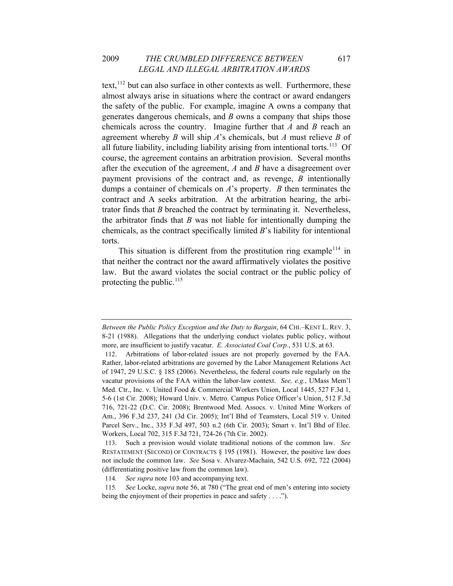text,  $112$  but can also surface in other contexts as well. Furthermore, these almost always arise in situations where the contract or award endangers the safety of the public. For example, imagine A owns a company that generates dangerous chemicals, and *B* owns a company that ships those chemicals across the country. Imagine further that *A* and *B* reach an agreement whereby *B* will ship *A*'s chemicals, but *A* must relieve *B* of all future liability, including liability arising from intentional torts.<sup>[113](#page-21-1)</sup> Of course, the agreement contains an arbitration provision. Several months after the execution of the agreement, *A* and *B* have a disagreement over payment provisions of the contract and, as revenge, *B* intentionally dumps a container of chemicals on *A*'s property. *B* then terminates the contract and A seeks arbitration. At the arbitration hearing, the arbitrator finds that *B* breached the contract by terminating it. Nevertheless, the arbitrator finds that *B* was not liable for intentionally dumping the chemicals, as the contract specifically limited *B*'s liability for intentional torts.

This situation is different from the prostitution ring example<sup>[114](#page-21-2)</sup> in that neither the contract nor the award affirmatively violates the positive law. But the award violates the social contract or the public policy of protecting the public. $^{115}$  $^{115}$  $^{115}$ 

*Between the Public Policy Exception and the Duty to Bargain*, 64 CHI.–KENT L. REV. 3, 8-21 (1988). Allegations that the underlying conduct violates public policy, without more, are insufficient to justify vacatur. *E. Associated Coal Corp.*, 531 U.S. at 63.

<span id="page-21-0"></span><sup>112.</sup> Arbitrations of labor-related issues are not properly governed by the FAA. Rather, labor-related arbitrations are governed by the Labor Management Relations Act of 1947, 29 U.S.C. § 185 (2006). Nevertheless, the federal courts rule regularly on the vacatur provisions of the FAA within the labor-law context. *See, e.g.*, UMass Mem'l Med. Ctr., Inc. v. United Food & Commercial Workers Union, Local 1445, 527 F.3d 1, 5-6 (1st Cir. 2008); Howard Univ. v. Metro. Campus Police Officer's Union, 512 F.3d 716, 721-22 (D.C. Cir. 2008); Brentwood Med. Assocs. v. United Mine Workers of Am., 396 F.3d 237, 241 (3d Cir. 2005); Int'l Bhd of Teamsters, Local 519 v. United Parcel Serv., Inc., 335 F.3d 497, 503 n.2 (6th Cir. 2003); Smart v. Int'l Bhd of Elec. Workers, Local 702, 315 F.3d 721, 724-26 (7th Cir. 2002).

<span id="page-21-1"></span><sup>113.</sup> Such a provision would violate traditional notions of the common law. *See* RESTATEMENT (SECOND) OF CONTRACTS § 195 (1981). However, the positive law does not include the common law. *See* Sosa v. Alvarez-Machain, 542 U.S. 692, 722 (2004) (differentiating positive law from the common law).

<sup>114</sup>*. See supra* note 103 and accompanying text.

<span id="page-21-3"></span><span id="page-21-2"></span><sup>115</sup>*. See* Locke, *supra* note 56, at 780 ("The great end of men's entering into society being the enjoyment of their properties in peace and safety . . . .").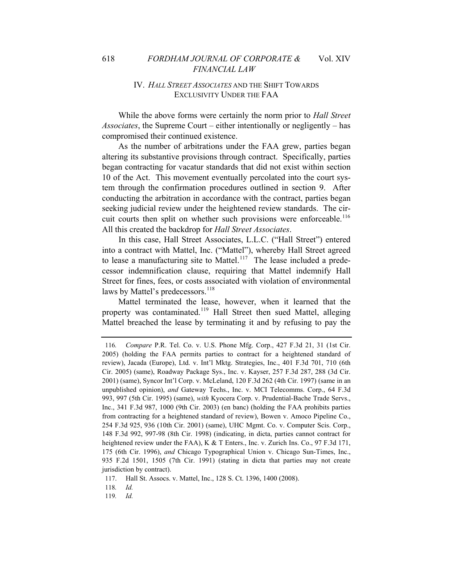# IV. *HALL STREET ASSOCIATES* AND THE SHIFT TOWARDS EXCLUSIVITY UNDER THE FAA

While the above forms were certainly the norm prior to *Hall Street Associates*, the Supreme Court – either intentionally or negligently – has compromised their continued existence.

As the number of arbitrations under the FAA grew, parties began altering its substantive provisions through contract. Specifically, parties began contracting for vacatur standards that did not exist within section 10 of the Act. This movement eventually percolated into the court system through the confirmation procedures outlined in section 9. After conducting the arbitration in accordance with the contract, parties began seeking judicial review under the heightened review standards. The cir-cuit courts then split on whether such provisions were enforceable.<sup>[116](#page-22-0)</sup> All this created the backdrop for *Hall Street Associates*.

In this case, Hall Street Associates, L.L.C. ("Hall Street") entered into a contract with Mattel, Inc. ("Mattel"), whereby Hall Street agreed to lease a manufacturing site to Mattel.<sup>[117](#page-22-1)</sup> The lease included a predecessor indemnification clause, requiring that Mattel indemnify Hall Street for fines, fees, or costs associated with violation of environmental laws by Mattel's predecessors.<sup>[118](#page-22-2)</sup>

Mattel terminated the lease, however, when it learned that the property was contaminated.<sup>[119](#page-22-3)</sup> Hall Street then sued Mattel, alleging Mattel breached the lease by terminating it and by refusing to pay the

<span id="page-22-3"></span><span id="page-22-2"></span>118*. Id.*

119*. Id.*

<span id="page-22-0"></span><sup>116</sup>*. Compare* P.R. Tel. Co. v. U.S. Phone Mfg. Corp., 427 F.3d 21, 31 (1st Cir. 2005) (holding the FAA permits parties to contract for a heightened standard of review), Jacada (Europe), Ltd. v. Int'l Mktg. Strategies, Inc., 401 F.3d 701, 710 (6th Cir. 2005) (same), Roadway Package Sys., Inc. v. Kayser, 257 F.3d 287, 288 (3d Cir. 2001) (same), Syncor Int'l Corp. v. McLeland, 120 F.3d 262 (4th Cir. 1997) (same in an unpublished opinion), *and* Gateway Techs., Inc. v. MCI Telecomms. Corp., 64 F.3d 993, 997 (5th Cir. 1995) (same), *with* Kyocera Corp. v. Prudential-Bache Trade Servs., Inc., 341 F.3d 987, 1000 (9th Cir. 2003) (en banc) (holding the FAA prohibits parties from contracting for a heightened standard of review), Bowen v. Amoco Pipeline Co., 254 F.3d 925, 936 (10th Cir. 2001) (same), UHC Mgmt. Co. v. Computer Scis. Corp., 148 F.3d 992, 997-98 (8th Cir. 1998) (indicating, in dicta, parties cannot contract for heightened review under the FAA), K & T Enters., Inc. v. Zurich Ins. Co., 97 F.3d 171, 175 (6th Cir. 1996), *and* Chicago Typographical Union v. Chicago Sun-Times, Inc., 935 F.2d 1501, 1505 (7th Cir. 1991) (stating in dicta that parties may not create jurisdiction by contract).

<span id="page-22-1"></span><sup>117.</sup> Hall St. Assocs. v. Mattel, Inc., 128 S. Ct. 1396, 1400 (2008).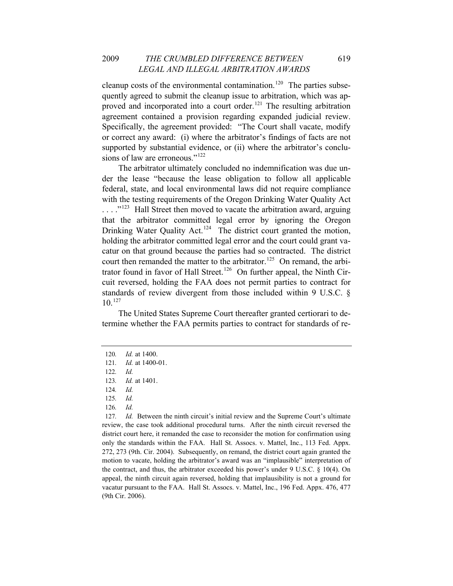cleanup costs of the environmental contamination.<sup>[120](#page-23-0)</sup> The parties subsequently agreed to submit the cleanup issue to arbitration, which was ap-proved and incorporated into a court order.<sup>[121](#page-23-1)</sup> The resulting arbitration agreement contained a provision regarding expanded judicial review. Specifically, the agreement provided: "The Court shall vacate, modify or correct any award: (i) where the arbitrator's findings of facts are not supported by substantial evidence, or (ii) where the arbitrator's conclu-sions of law are erroneous."<sup>[122](#page-23-2)</sup>

The arbitrator ultimately concluded no indemnification was due under the lease "because the lease obligation to follow all applicable federal, state, and local environmental laws did not require compliance with the testing requirements of the Oregon Drinking Water Quality Act . . . ."[123](#page-23-3) Hall Street then moved to vacate the arbitration award, arguing that the arbitrator committed legal error by ignoring the Oregon Drinking Water Quality Act.<sup>[124](#page-23-4)</sup> The district court granted the motion, holding the arbitrator committed legal error and the court could grant vacatur on that ground because the parties had so contracted. The district court then remanded the matter to the arbitrator.<sup>[125](#page-23-5)</sup> On remand, the arbi-trator found in favor of Hall Street.<sup>[126](#page-23-6)</sup> On further appeal, the Ninth Circuit reversed, holding the FAA does not permit parties to contract for standards of review divergent from those included within 9 U.S.C. §  $10^{127}$  $10^{127}$  $10^{127}$ 

The United States Supreme Court thereafter granted certiorari to determine whether the FAA permits parties to contract for standards of re-

<span id="page-23-0"></span><sup>120</sup>*. Id.* at 1400.

<span id="page-23-2"></span><span id="page-23-1"></span><sup>121</sup>*. Id.* at 1400-01.

<sup>122</sup>*. Id.*

<span id="page-23-4"></span><span id="page-23-3"></span><sup>123</sup>*. Id.* at 1401.

<sup>124</sup>*. Id.*

<sup>125</sup>*. Id.*

<sup>126</sup>*. Id.*

<span id="page-23-7"></span><span id="page-23-6"></span><span id="page-23-5"></span><sup>127</sup>*. Id.* Between the ninth circuit's initial review and the Supreme Court's ultimate review, the case took additional procedural turns. After the ninth circuit reversed the district court here, it remanded the case to reconsider the motion for confirmation using only the standards within the FAA. Hall St. Assocs. v. Mattel, Inc., 113 Fed. Appx. 272, 273 (9th. Cir. 2004). Subsequently, on remand, the district court again granted the motion to vacate, holding the arbitrator's award was an "implausible" interpretation of the contract, and thus, the arbitrator exceeded his power's under 9 U.S.C. § 10(4). On appeal, the ninth circuit again reversed, holding that implausibility is not a ground for vacatur pursuant to the FAA. Hall St. Assocs. v. Mattel, Inc., 196 Fed. Appx. 476, 477 (9th Cir. 2006).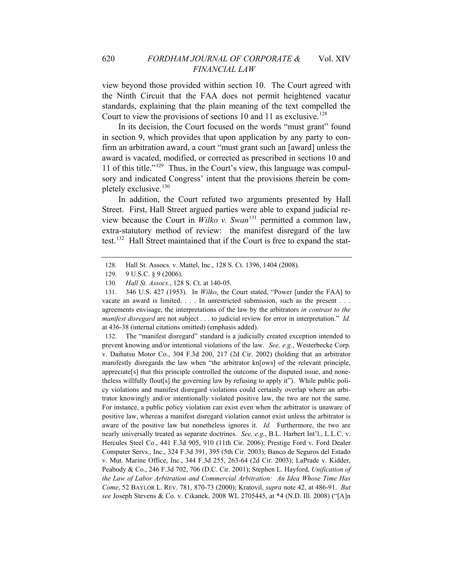view beyond those provided within section 10. The Court agreed with the Ninth Circuit that the FAA does not permit heightened vacatur standards, explaining that the plain meaning of the text compelled the Court to view the provisions of sections 10 and 11 as exclusive.<sup>[128](#page-24-0)</sup>

In its decision, the Court focused on the words "must grant" found in section 9, which provides that upon application by any party to confirm an arbitration award, a court "must grant such an [award] unless the award is vacated, modified, or corrected as prescribed in sections 10 and 11 of this title." $129$  Thus, in the Court's view, this language was compulsory and indicated Congress' intent that the provisions therein be com-pletely exclusive.<sup>[130](#page-24-2)</sup>

In addition, the Court refuted two arguments presented by Hall Street. First, Hall Street argued parties were able to expand judicial review because the Court in *Wilko v. Swan*[131](#page-24-3) permitted a common law, extra-statutory method of review: the manifest disregard of the law test.<sup>[132](#page-24-4)</sup> Hall Street maintained that if the Court is free to expand the stat-

<span id="page-24-4"></span>132. The "manifest disregard" standard is a judicially created exception intended to prevent knowing and/or intentional violations of the law. *See, e.g.*, Westerbecke Corp. v. Daihatsu Motor Co., 304 F.3d 200, 217 (2d Cir. 2002) (holding that an arbitrator manifestly disregards the law when "the arbitrator kn[ows] of the relevant principle, appreciate[s] that this principle controlled the outcome of the disputed issue, and nonetheless willfully flout[s] the governing law by refusing to apply it"). While public policy violations and manifest disregard violations could certainly overlap where an arbitrator knowingly and/or intentionally violated positive law, the two are not the same. For instance, a public policy violation can exist even when the arbitrator is unaware of positive law, whereas a manifest disregard violation cannot exist unless the arbitrator is aware of the positive law but nonetheless ignores it. *Id.* Furthermore, the two are nearly universally treated as separate doctrines. *See, e.g.*, B.L. Harbert Int'l., L.L.C. v. Hercules Steel Co., 441 F.3d 905, 910 (11th Cir. 2006); Prestige Ford v. Ford Dealer Computer Servs., Inc., 324 F.3d 391, 395 (5th Cir. 2003); Banco de Seguros del Estado v. Mut. Marine Office, Inc., 344 F.3d 255, 263-64 (2d Cir. 2003); LaPrade v. Kidder, Peabody & Co., 246 F.3d 702, 706 (D.C. Cir. 2001); Stephen L. Hayford, *Unification of the Law of Labor Arbitration and Commercial Arbitration: An Idea Whose Time Has Come*, 52 BAYLOR L. REV. 781, 870-73 (2000); Kratovil, *supra* note 42, at 486-91. *But see* Joseph Stevens & Co. v. Cikanek, 2008 WL 2705445, at \*4 (N.D. Ill. 2008) ("[A]n

<sup>128.</sup> Hall St. Assocs. v. Mattel, Inc., 128 S. Ct. 1396, 1404 (2008).

<span id="page-24-0"></span><sup>129. 9</sup> U.S.C. § 9 (2006).

<sup>130</sup>*. Hall St. Assocs.*, 128 S. Ct. at 140-05.

<span id="page-24-3"></span><span id="page-24-2"></span><span id="page-24-1"></span><sup>131. 346</sup> U.S. 427 (1953). In *Wilko*, the Court stated, "Power [under the FAA] to vacate an award is limited. . . . In unrestricted submission, such as the present . . . agreements envisage, the interpretations of the law by the arbitrators *in contrast to the manifest disregard* are not subject . . . to judicial review for error in interpretation." *Id.*  at 436-38 (internal citations omitted) (emphasis added).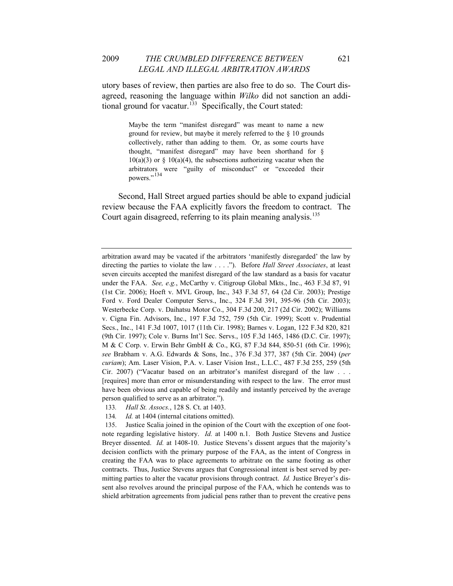utory bases of review, then parties are also free to do so. The Court disagreed, reasoning the language within *Wilko* did not sanction an addi-tional ground for vacatur.<sup>[133](#page-25-0)</sup> Specifically, the Court stated:

> Maybe the term "manifest disregard" was meant to name a new ground for review, but maybe it merely referred to the § 10 grounds collectively, rather than adding to them. Or, as some courts have thought, "manifest disregard" may have been shorthand for §  $10(a)(3)$  or §  $10(a)(4)$ , the subsections authorizing vacatur when the arbitrators were "guilty of misconduct" or "exceeded their powers."<sup>[134](#page-25-1)</sup>

Second, Hall Street argued parties should be able to expand judicial review because the FAA explicitly favors the freedom to contract. The Court again disagreed, referring to its plain meaning analysis.<sup>[135](#page-25-2)</sup>

arbitration award may be vacated if the arbitrators 'manifestly disregarded' the law by directing the parties to violate the law . . . ."). Before *Hall Street Associates*, at least seven circuits accepted the manifest disregard of the law standard as a basis for vacatur under the FAA. *See, e.g.*, McCarthy v. Citigroup Global Mkts., Inc., 463 F.3d 87, 91 (1st Cir. 2006); Hoeft v. MVL Group, Inc., 343 F.3d 57, 64 (2d Cir. 2003); Prestige Ford v. Ford Dealer Computer Servs., Inc., 324 F.3d 391, 395-96 (5th Cir. 2003); Westerbecke Corp. v. Daihatsu Motor Co., 304 F.3d 200, 217 (2d Cir. 2002); Williams v. Cigna Fin. Advisors, Inc., 197 F.3d 752, 759 (5th Cir. 1999); Scott v. Prudential Secs., Inc., 141 F.3d 1007, 1017 (11th Cir. 1998); Barnes v. Logan, 122 F.3d 820, 821 (9th Cir. 1997); Cole v. Burns Int'l Sec. Servs., 105 F.3d 1465, 1486 (D.C. Cir. 1997); M & C Corp. v. Erwin Behr GmbH & Co., KG, 87 F.3d 844, 850-51 (6th Cir. 1996); *see* Brabham v. A.G. Edwards & Sons, Inc., 376 F.3d 377, 387 (5th Cir. 2004) (*per curiam*); Am. Laser Vision, P.A. v. Laser Vision Inst., L.L.C., 487 F.3d 255, 259 (5th Cir. 2007) ("Vacatur based on an arbitrator's manifest disregard of the law . . . [requires] more than error or misunderstanding with respect to the law. The error must have been obvious and capable of being readily and instantly perceived by the average person qualified to serve as an arbitrator.").

<sup>133</sup>*. Hall St. Assocs.*, 128 S. Ct. at 1403.

<sup>134</sup>*. Id.* at 1404 (internal citations omitted).

<span id="page-25-2"></span><span id="page-25-1"></span><span id="page-25-0"></span><sup>135.</sup> Justice Scalia joined in the opinion of the Court with the exception of one footnote regarding legislative history. *Id.* at 1400 n.1. Both Justice Stevens and Justice Breyer dissented. *Id.* at 1408-10. Justice Stevens's dissent argues that the majority's decision conflicts with the primary purpose of the FAA, as the intent of Congress in creating the FAA was to place agreements to arbitrate on the same footing as other contracts. Thus, Justice Stevens argues that Congressional intent is best served by permitting parties to alter the vacatur provisions through contract. *Id.* Justice Breyer's dissent also revolves around the principal purpose of the FAA, which he contends was to shield arbitration agreements from judicial pens rather than to prevent the creative pens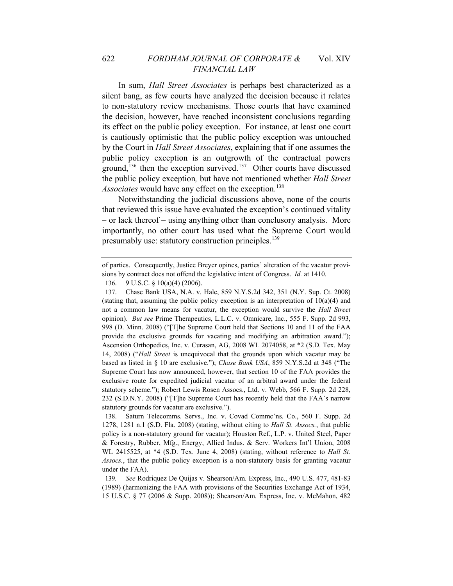In sum, *Hall Street Associates* is perhaps best characterized as a silent bang, as few courts have analyzed the decision because it relates to non-statutory review mechanisms. Those courts that have examined the decision, however, have reached inconsistent conclusions regarding its effect on the public policy exception. For instance, at least one court is cautiously optimistic that the public policy exception was untouched by the Court in *Hall Street Associates*, explaining that if one assumes the public policy exception is an outgrowth of the contractual powers ground,<sup>[136](#page-26-0)</sup> then the exception survived.<sup>[137](#page-26-1)</sup> Other courts have discussed the public policy exception*,* but have not mentioned whether *Hall Street Associates* would have any effect on the exception.<sup>[138](#page-26-2)</sup>

Notwithstanding the judicial discussions above, none of the courts that reviewed this issue have evaluated the exception's continued vitality – or lack thereof – using anything other than conclusory analysis. More importantly, no other court has used what the Supreme Court would presumably use: statutory construction principles.<sup>[139](#page-26-3)</sup>

<span id="page-26-2"></span>138. Saturn Telecomms. Servs., Inc. v. Covad Commc'ns. Co., 560 F. Supp. 2d 1278, 1281 n.1 (S.D. Fla. 2008) (stating, without citing to *Hall St. Assocs.*, that public policy is a non-statutory ground for vacatur); Houston Ref., L.P. v. United Steel, Paper & Forestry, Rubber, Mfg., Energy, Allied Indus. & Serv. Workers Int'l Union, 2008 WL 2415525, at \*4 (S.D. Tex. June 4, 2008) (stating, without reference to *Hall St. Assocs.*, that the public policy exception is a non-statutory basis for granting vacatur under the FAA).

of parties. Consequently, Justice Breyer opines, parties' alteration of the vacatur provisions by contract does not offend the legislative intent of Congress. *Id.* at 1410.

<sup>136. 9</sup> U.S.C. § 10(a)(4) (2006).

<span id="page-26-1"></span><span id="page-26-0"></span><sup>137.</sup> Chase Bank USA, N.A. v. Hale, 859 N.Y.S.2d 342, 351 (N.Y. Sup. Ct. 2008) (stating that, assuming the public policy exception is an interpretation of  $10(a)(4)$  and not a common law means for vacatur, the exception would survive the *Hall Street*  opinion). *But see* Prime Therapeutics, L.L.C. v. Omnicare, Inc., 555 F. Supp. 2d 993, 998 (D. Minn. 2008) ("[T]he Supreme Court held that Sections 10 and 11 of the FAA provide the exclusive grounds for vacating and modifying an arbitration award."); Ascension Orthopedics, Inc. v. Curasan, AG, 2008 WL 2074058, at \*2 (S.D. Tex. May 14, 2008) ("*Hall Street* is unequivocal that the grounds upon which vacatur may be based as listed in § 10 are exclusive."); *Chase Bank USA*, 859 N.Y.S.2d at 348 ("The Supreme Court has now announced, however, that section 10 of the FAA provides the exclusive route for expedited judicial vacatur of an arbitral award under the federal statutory scheme."); Robert Lewis Rosen Assocs., Ltd. v. Webb, 566 F. Supp. 2d 228, 232 (S.D.N.Y. 2008) ("[T]he Supreme Court has recently held that the FAA's narrow statutory grounds for vacatur are exclusive.").

<span id="page-26-3"></span><sup>139</sup>*. See* Rodriquez De Quijas v. Shearson/Am. Express, Inc., 490 U.S. 477, 481-83 (1989) (harmonizing the FAA with provisions of the Securities Exchange Act of 1934, 15 U.S.C. § 77 (2006 & Supp. 2008)); Shearson/Am. Express, Inc. v. McMahon, 482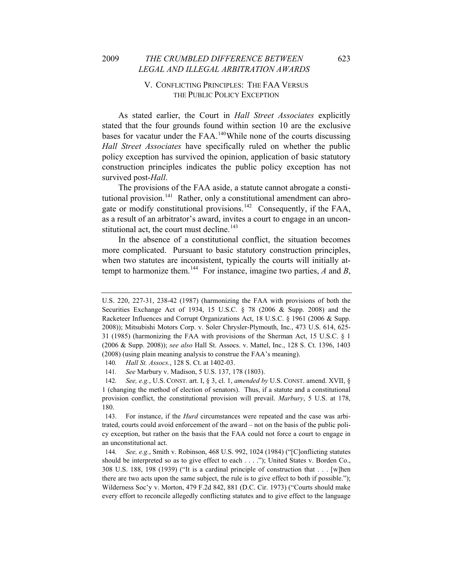#### 2009 *THE CRUMBLED DIFFERENCE BETWEEN* 623 *LEGAL AND ILLEGAL ARBITRATION AWARDS*

# V. CONFLICTING PRINCIPLES: THE FAA VERSUS THE PUBLIC POLICY EXCEPTION

As stated earlier, the Court in *Hall Street Associates* explicitly stated that the four grounds found within section 10 are the exclusive bases for vacatur under the FAA.<sup>[140](#page-27-0)</sup>While none of the courts discussing *Hall Street Associates* have specifically ruled on whether the public policy exception has survived the opinion, application of basic statutory construction principles indicates the public policy exception has not survived post-*Hall*.

The provisions of the FAA aside, a statute cannot abrogate a consti-tutional provision.<sup>[141](#page-27-1)</sup> Rather, only a constitutional amendment can abro-gate or modify constitutional provisions.<sup>[142](#page-27-2)</sup> Consequently, if the FAA, as a result of an arbitrator's award, invites a court to engage in an uncon-stitutional act, the court must decline.<sup>[143](#page-27-3)</sup>

In the absence of a constitutional conflict, the situation becomes more complicated. Pursuant to basic statutory construction principles, when two statutes are inconsistent, typically the courts will initially at-tempt to harmonize them.<sup>[144](#page-27-4)</sup> For instance, imagine two parties,  $\vec{A}$  and  $\vec{B}$ ,

U.S. 220, 227-31, 238-42 (1987) (harmonizing the FAA with provisions of both the Securities Exchange Act of 1934, 15 U.S.C. § 78 (2006 & Supp. 2008) and the Racketeer Influences and Corrupt Organizations Act, 18 U.S.C. § 1961 (2006 & Supp. 2008)); Mitsubishi Motors Corp. v. Soler Chrysler-Plymouth, Inc., 473 U.S. 614, 625- 31 (1985) (harmonizing the FAA with provisions of the Sherman Act, 15 U.S.C. § 1 (2006 & Supp. 2008)); *see also* Hall St. Assocs. v. Mattel, Inc., 128 S. Ct. 1396, 1403 (2008) (using plain meaning analysis to construe the FAA's meaning).

<sup>140</sup>*. Hall St. Assocs.*, 128 S. Ct. at 1402-03.

<sup>141</sup>*. See* Marbury v. Madison, 5 U.S. 137, 178 (1803).

<span id="page-27-2"></span><span id="page-27-1"></span><span id="page-27-0"></span><sup>142</sup>*. See, e.g.*, U.S. CONST. art. I, § 3, cl. 1, *amended by* U.S. CONST. amend. XVII, § 1 (changing the method of election of senators). Thus, if a statute and a constitutional provision conflict, the constitutional provision will prevail. *Marbury*, 5 U.S. at 178, 180.

<span id="page-27-3"></span><sup>143.</sup> For instance, if the *Hurd* circumstances were repeated and the case was arbitrated, courts could avoid enforcement of the award – not on the basis of the public policy exception, but rather on the basis that the FAA could not force a court to engage in an unconstitutional act.

<span id="page-27-4"></span><sup>144</sup>*. See, e.g.*, Smith v. Robinson, 468 U.S. 992, 1024 (1984) ("[C]onflicting statutes should be interpreted so as to give effect to each . . . ."); United States v. Borden Co., 308 U.S. 188, 198 (1939) ("It is a cardinal principle of construction that . . . [w]hen there are two acts upon the same subject, the rule is to give effect to both if possible."); Wilderness Soc'y v. Morton, 479 F.2d 842, 881 (D.C. Cir. 1973) ("Courts should make every effort to reconcile allegedly conflicting statutes and to give effect to the language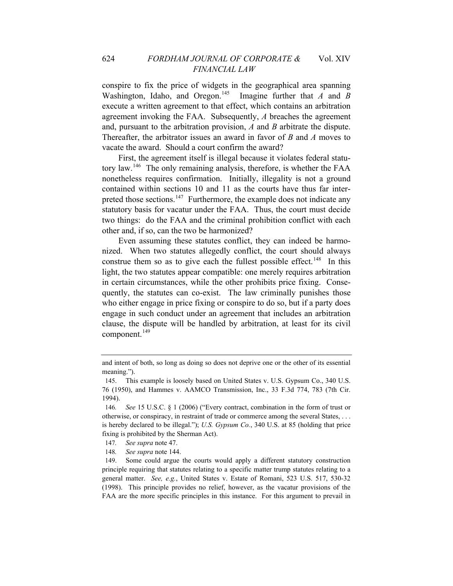conspire to fix the price of widgets in the geographical area spanning Washington, Idaho, and Oregon.[145](#page-28-0) Imagine further that *A* and *B* execute a written agreement to that effect, which contains an arbitration agreement invoking the FAA. Subsequently, *A* breaches the agreement and, pursuant to the arbitration provision, *A* and *B* arbitrate the dispute. Thereafter, the arbitrator issues an award in favor of *B* and *A* moves to vacate the award. Should a court confirm the award?

First, the agreement itself is illegal because it violates federal statutory law.[146](#page-28-1) The only remaining analysis, therefore, is whether the FAA nonetheless requires confirmation. Initially, illegality is not a ground contained within sections 10 and 11 as the courts have thus far inter-preted those sections.<sup>[147](#page-28-2)</sup> Furthermore, the example does not indicate any statutory basis for vacatur under the FAA. Thus, the court must decide two things: do the FAA and the criminal prohibition conflict with each other and, if so, can the two be harmonized?

Even assuming these statutes conflict, they can indeed be harmonized. When two statutes allegedly conflict, the court should always construe them so as to give each the fullest possible effect.<sup>[148](#page-28-3)</sup> In this light, the two statutes appear compatible: one merely requires arbitration in certain circumstances, while the other prohibits price fixing. Consequently, the statutes can co-exist. The law criminally punishes those who either engage in price fixing or conspire to do so, but if a party does engage in such conduct under an agreement that includes an arbitration clause, the dispute will be handled by arbitration, at least for its civil component.<sup>[149](#page-28-4)</sup>

148*. See supra* note 144.

and intent of both, so long as doing so does not deprive one or the other of its essential meaning.").

<span id="page-28-0"></span><sup>145.</sup> This example is loosely based on United States v. U.S. Gypsum Co., 340 U.S. 76 (1950), and Hammes v. AAMCO Transmission, Inc., 33 F.3d 774, 783 (7th Cir. 1994).

<span id="page-28-1"></span><sup>146</sup>*. See* 15 U.S.C. § 1 (2006) ("Every contract, combination in the form of trust or otherwise, or conspiracy, in restraint of trade or commerce among the several States, . . . is hereby declared to be illegal."); *U.S. Gypsum Co.*, 340 U.S. at 85 (holding that price fixing is prohibited by the Sherman Act).

<sup>147</sup>*. See supra* note 47.

<span id="page-28-4"></span><span id="page-28-3"></span><span id="page-28-2"></span><sup>149.</sup> Some could argue the courts would apply a different statutory construction principle requiring that statutes relating to a specific matter trump statutes relating to a general matter. *See, e.g.*, United States v. Estate of Romani, 523 U.S. 517, 530-32 (1998). This principle provides no relief, however, as the vacatur provisions of the FAA are the more specific principles in this instance. For this argument to prevail in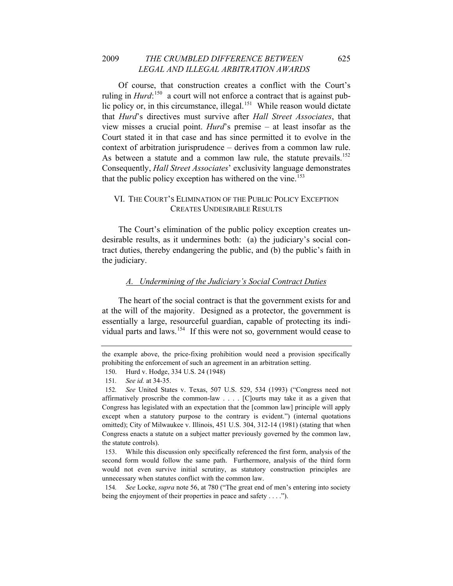# 2009 *THE CRUMBLED DIFFERENCE BETWEEN* 625 *LEGAL AND ILLEGAL ARBITRATION AWARDS*

Of course, that construction creates a conflict with the Court's ruling in *Hurd*:<sup>[150](#page-29-0)</sup> a court will not enforce a contract that is against public policy or, in this circumstance, illegal. $151$  While reason would dictate that *Hurd*'s directives must survive after *Hall Street Associates*, that view misses a crucial point. *Hurd*'s premise – at least insofar as the Court stated it in that case and has since permitted it to evolve in the context of arbitration jurisprudence – derives from a common law rule. As between a statute and a common law rule, the statute prevails.<sup>[152](#page-29-2)</sup> Consequently, *Hall Street Associates*' exclusivity language demonstrates that the public policy exception has withered on the vine.<sup>[153](#page-29-3)</sup>

# VI. THE COURT'S ELIMINATION OF THE PUBLIC POLICY EXCEPTION CREATES UNDESIRABLE RESULTS

The Court's elimination of the public policy exception creates undesirable results, as it undermines both: (a) the judiciary's social contract duties, thereby endangering the public, and (b) the public's faith in the judiciary.

#### *A. Undermining of the Judiciary's Social Contract Duties*

The heart of the social contract is that the government exists for and at the will of the majority. Designed as a protector, the government is essentially a large, resourceful guardian, capable of protecting its indi-vidual parts and laws.<sup>[154](#page-29-4)</sup> If this were not so, government would cease to

<span id="page-29-0"></span>the example above, the price-fixing prohibition would need a provision specifically prohibiting the enforcement of such an agreement in an arbitration setting.

<sup>150.</sup> Hurd v. Hodge, 334 U.S. 24 (1948)

<sup>151</sup>*. See id.* at 34-35.

<span id="page-29-2"></span><span id="page-29-1"></span><sup>152</sup>*. See* United States v. Texas, 507 U.S. 529, 534 (1993) ("Congress need not affirmatively proscribe the common-law . . . . [C]ourts may take it as a given that Congress has legislated with an expectation that the [common law] principle will apply except when a statutory purpose to the contrary is evident.") (internal quotations omitted); City of Milwaukee v. Illinois, 451 U.S. 304, 312-14 (1981) (stating that when Congress enacts a statute on a subject matter previously governed by the common law, the statute controls).

<span id="page-29-3"></span><sup>153.</sup> While this discussion only specifically referenced the first form, analysis of the second form would follow the same path. Furthermore, analysis of the third form would not even survive initial scrutiny, as statutory construction principles are unnecessary when statutes conflict with the common law.

<span id="page-29-4"></span><sup>154</sup>*. See* Locke, *supra* note 56, at 780 ("The great end of men's entering into society being the enjoyment of their properties in peace and safety . . . .").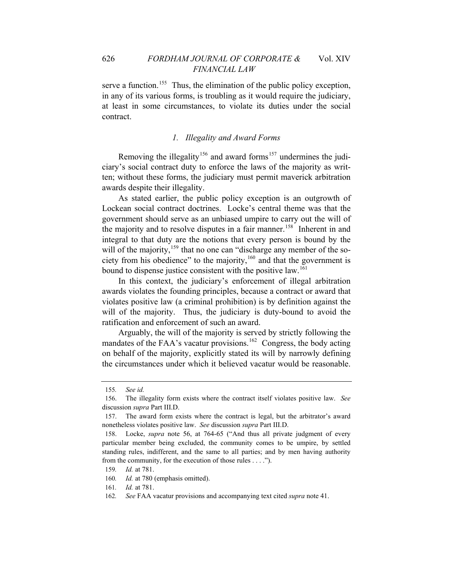serve a function.<sup>[155](#page-30-0)</sup> Thus, the elimination of the public policy exception, in any of its various forms, is troubling as it would require the judiciary, at least in some circumstances, to violate its duties under the social contract.

# *1. Illegality and Award Forms*

Removing the illegality<sup>[156](#page-30-1)</sup> and award forms<sup>[157](#page-30-2)</sup> undermines the judiciary's social contract duty to enforce the laws of the majority as written; without these forms, the judiciary must permit maverick arbitration awards despite their illegality.

As stated earlier, the public policy exception is an outgrowth of Lockean social contract doctrines. Locke's central theme was that the government should serve as an unbiased umpire to carry out the will of the majority and to resolve disputes in a fair manner.<sup>[158](#page-30-3)</sup> Inherent in and integral to that duty are the notions that every person is bound by the will of the majority, $159$  that no one can "discharge any member of the so-ciety from his obedience" to the majority,<sup>[160](#page-30-5)</sup> and that the government is bound to dispense justice consistent with the positive law.<sup>[161](#page-30-6)</sup>

In this context, the judiciary's enforcement of illegal arbitration awards violates the founding principles, because a contract or award that violates positive law (a criminal prohibition) is by definition against the will of the majority. Thus, the judiciary is duty-bound to avoid the ratification and enforcement of such an award.

Arguably, the will of the majority is served by strictly following the mandates of the FAA's vacatur provisions.<sup>[162](#page-30-7)</sup> Congress, the body acting on behalf of the majority, explicitly stated its will by narrowly defining the circumstances under which it believed vacatur would be reasonable.

<sup>155</sup>*. See id.*

<span id="page-30-1"></span><span id="page-30-0"></span><sup>156.</sup> The illegality form exists where the contract itself violates positive law. *See* discussion *supra* Part III.D.

<span id="page-30-2"></span><sup>157.</sup> The award form exists where the contract is legal, but the arbitrator's award nonetheless violates positive law. *See* discussion *supra* Part III.D.

<span id="page-30-3"></span><sup>158.</sup> Locke, *supra* note 56, at 764-65 ("And thus all private judgment of every particular member being excluded, the community comes to be umpire, by settled standing rules, indifferent, and the same to all parties; and by men having authority from the community, for the execution of those rules . . . .").

<span id="page-30-4"></span><sup>159</sup>*. Id.* at 781.

<span id="page-30-6"></span><span id="page-30-5"></span><sup>160</sup>*. Id.* at 780 (emphasis omitted).

<span id="page-30-7"></span><sup>161</sup>*. Id.* at 781.

<sup>162</sup>*. See* FAA vacatur provisions and accompanying text cited *supra* note 41.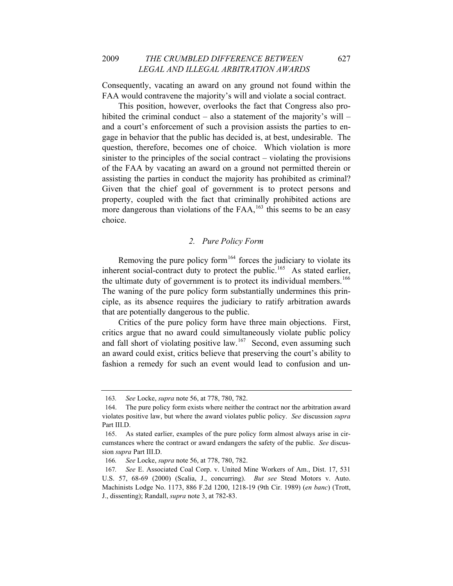Consequently, vacating an award on any ground not found within the FAA would contravene the majority's will and violate a social contract.

This position, however, overlooks the fact that Congress also prohibited the criminal conduct – also a statement of the majority's will – and a court's enforcement of such a provision assists the parties to engage in behavior that the public has decided is, at best, undesirable. The question, therefore, becomes one of choice. Which violation is more sinister to the principles of the social contract – violating the provisions of the FAA by vacating an award on a ground not permitted therein or assisting the parties in conduct the majority has prohibited as criminal? Given that the chief goal of government is to protect persons and property, coupled with the fact that criminally prohibited actions are more dangerous than violations of the  $FAA<sub>1</sub><sup>163</sup>$  $FAA<sub>1</sub><sup>163</sup>$  $FAA<sub>1</sub><sup>163</sup>$  this seems to be an easy choice.

#### *2. Pure Policy Form*

Removing the pure policy form $164$  forces the judiciary to violate its inherent social-contract duty to protect the public.<sup>[165](#page-31-2)</sup> As stated earlier, the ultimate duty of government is to protect its individual members.<sup>[166](#page-31-3)</sup> The waning of the pure policy form substantially undermines this principle, as its absence requires the judiciary to ratify arbitration awards that are potentially dangerous to the public.

Critics of the pure policy form have three main objections. First, critics argue that no award could simultaneously violate public policy and fall short of violating positive law.<sup>[167](#page-31-4)</sup> Second, even assuming such an award could exist, critics believe that preserving the court's ability to fashion a remedy for such an event would lead to confusion and un-

<sup>163</sup>*. See* Locke, *supra* note 56, at 778, 780, 782.

<span id="page-31-1"></span><span id="page-31-0"></span><sup>164.</sup> The pure policy form exists where neither the contract nor the arbitration award violates positive law, but where the award violates public policy. *See* discussion *supra* Part III.D.

<span id="page-31-2"></span><sup>165.</sup> As stated earlier, examples of the pure policy form almost always arise in circumstances where the contract or award endangers the safety of the public. *See* discussion *supra* Part III.D.

<sup>166</sup>*. See* Locke, *supra* note 56, at 778, 780, 782.

<span id="page-31-4"></span><span id="page-31-3"></span><sup>167</sup>*. See* E. Associated Coal Corp. v. United Mine Workers of Am., Dist. 17, 531 U.S. 57, 68-69 (2000) (Scalia, J., concurring). *But see* Stead Motors v. Auto. Machinists Lodge No. 1173, 886 F.2d 1200, 1218-19 (9th Cir. 1989) (*en banc*) (Trott, J., dissenting); Randall, *supra* note 3, at 782-83.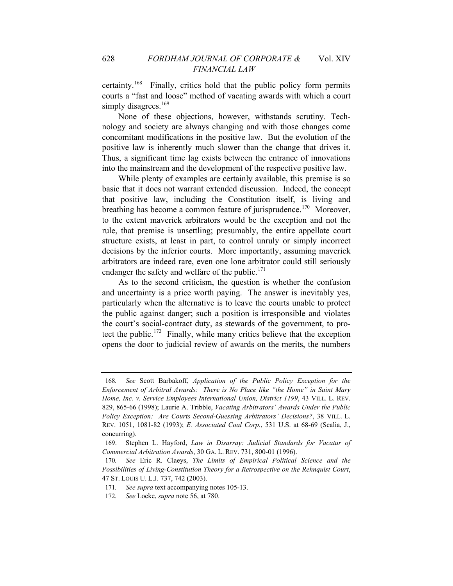certainty.[168](#page-32-0) Finally, critics hold that the public policy form permits courts a "fast and loose" method of vacating awards with which a court simply disagrees.<sup>[169](#page-32-1)</sup>

None of these objections, however, withstands scrutiny. Technology and society are always changing and with those changes come concomitant modifications in the positive law. But the evolution of the positive law is inherently much slower than the change that drives it. Thus, a significant time lag exists between the entrance of innovations into the mainstream and the development of the respective positive law.

While plenty of examples are certainly available, this premise is so basic that it does not warrant extended discussion. Indeed, the concept that positive law, including the Constitution itself, is living and breathing has become a common feature of jurisprudence.<sup>[170](#page-32-2)</sup> Moreover, to the extent maverick arbitrators would be the exception and not the rule, that premise is unsettling; presumably, the entire appellate court structure exists, at least in part, to control unruly or simply incorrect decisions by the inferior courts. More importantly, assuming maverick arbitrators are indeed rare, even one lone arbitrator could still seriously endanger the safety and welfare of the public. $171$ 

As to the second criticism, the question is whether the confusion and uncertainty is a price worth paying. The answer is inevitably yes, particularly when the alternative is to leave the courts unable to protect the public against danger; such a position is irresponsible and violates the court's social-contract duty, as stewards of the government, to pro-tect the public.<sup>[172](#page-32-4)</sup> Finally, while many critics believe that the exception opens the door to judicial review of awards on the merits, the numbers

<span id="page-32-0"></span><sup>168</sup>*. See* Scott Barbakoff, *Application of the Public Policy Exception for the Enforcement of Arbitral Awards: There is No Place like "the Home" in Saint Mary Home, Inc. v. Service Employees International Union, District 1199*, 43 VILL. L. REV. 829, 865-66 (1998); Laurie A. Tribble, *Vacating Arbitrators' Awards Under the Public Policy Exception: Are Courts Second-Guessing Arbitrators' Decisions?*, 38 VILL. L. REV. 1051, 1081-82 (1993); *E. Associated Coal Corp.*, 531 U.S. at 68-69 (Scalia, J., concurring).

<span id="page-32-1"></span><sup>169.</sup> Stephen L. Hayford, *Law in Disarray: Judicial Standards for Vacatur of Commercial Arbitration Awards*, 30 GA. L. REV. 731, 800-01 (1996).

<span id="page-32-2"></span><sup>170</sup>*. See* Eric R. Claeys, *The Limits of Empirical Political Science and the Possibilities of Living-Constitution Theory for a Retrospective on the Rehnquist Court*, 47 ST. LOUIS U. L.J. 737, 742 (2003).

<span id="page-32-3"></span><sup>171</sup>*. See supra* text accompanying notes 105-13.

<span id="page-32-4"></span><sup>172</sup>*. See* Locke, *supra* note 56, at 780.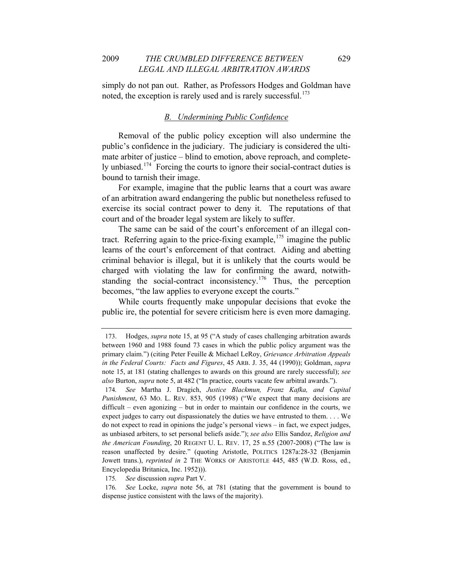simply do not pan out. Rather, as Professors Hodges and Goldman have noted, the exception is rarely used and is rarely successful.<sup>[173](#page-33-0)</sup>

#### *B. Undermining Public Confidence*

Removal of the public policy exception will also undermine the public's confidence in the judiciary. The judiciary is considered the ultimate arbiter of justice – blind to emotion, above reproach, and completely unbiased.[174](#page-33-1) Forcing the courts to ignore their social-contract duties is bound to tarnish their image.

For example, imagine that the public learns that a court was aware of an arbitration award endangering the public but nonetheless refused to exercise its social contract power to deny it. The reputations of that court and of the broader legal system are likely to suffer.

The same can be said of the court's enforcement of an illegal contract. Referring again to the price-fixing example,  $175$  imagine the public learns of the court's enforcement of that contract. Aiding and abetting criminal behavior is illegal, but it is unlikely that the courts would be charged with violating the law for confirming the award, notwith-standing the social-contract inconsistency.<sup>[176](#page-33-3)</sup> Thus, the perception becomes, "the law applies to everyone except the courts."

While courts frequently make unpopular decisions that evoke the public ire, the potential for severe criticism here is even more damaging.

175*. See* discussion *supra* Part V.

<span id="page-33-0"></span><sup>173.</sup> Hodges, *supra* note 15, at 95 ("A study of cases challenging arbitration awards between 1960 and 1988 found 73 cases in which the public policy argument was the primary claim.") (citing Peter Feuille & Michael LeRoy, *Grievance Arbitration Appeals in the Federal Courts: Facts and Figures*, 45 ARB. J. 35, 44 (1990)); Goldman, *supra*  note 15, at 181 (stating challenges to awards on this ground are rarely successful); *see also* Burton, *supra* note 5, at 482 ("In practice, courts vacate few arbitral awards.").

<span id="page-33-1"></span><sup>174</sup>*. See* Martha J. Dragich, *Justice Blackmun, Franz Kafka, and Capital Punishment*, 63 MO. L. REV. 853, 905 (1998) ("We expect that many decisions are difficult – even agonizing – but in order to maintain our confidence in the courts, we expect judges to carry out dispassionately the duties we have entrusted to them. . . . We do not expect to read in opinions the judge's personal views – in fact, we expect judges, as unbiased arbiters, to set personal beliefs aside."); *see also* Ellis Sandoz, *Religion and the American Founding*, 20 REGENT U. L. REV. 17, 25 n.55 (2007-2008) ("The law is reason unaffected by desire." (quoting Aristotle, POLITICS 1287a:28-32 (Benjamin Jowett trans.), *reprinted in* 2 THE WORKS OF ARISTOTLE 445, 485 (W.D. Ross, ed., Encyclopedia Britanica, Inc. 1952))).

<span id="page-33-3"></span><span id="page-33-2"></span><sup>176</sup>*. See* Locke, *supra* note 56, at 781 (stating that the government is bound to dispense justice consistent with the laws of the majority).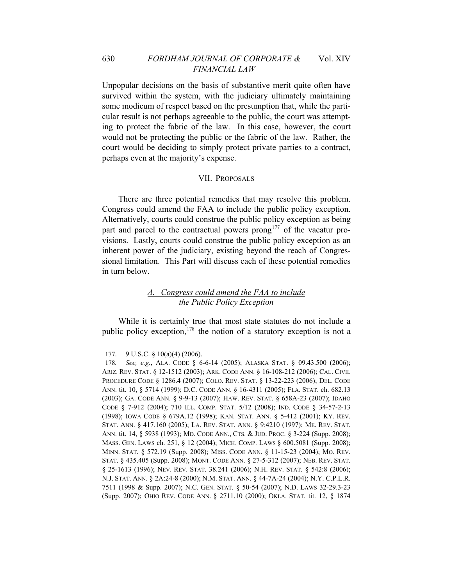# 630 *FORDHAM JOURNAL OF CORPORATE &* Vol. XIV *FINANCIAL LAW*

Unpopular decisions on the basis of substantive merit quite often have survived within the system, with the judiciary ultimately maintaining some modicum of respect based on the presumption that, while the particular result is not perhaps agreeable to the public, the court was attempting to protect the fabric of the law. In this case, however, the court would not be protecting the public or the fabric of the law. Rather, the court would be deciding to simply protect private parties to a contract, perhaps even at the majority's expense.

#### VII. PROPOSALS

There are three potential remedies that may resolve this problem. Congress could amend the FAA to include the public policy exception. Alternatively, courts could construe the public policy exception as being part and parcel to the contractual powers  $prong<sup>177</sup>$  $prong<sup>177</sup>$  $prong<sup>177</sup>$  of the vacatur provisions. Lastly, courts could construe the public policy exception as an inherent power of the judiciary, existing beyond the reach of Congressional limitation. This Part will discuss each of these potential remedies in turn below.

# *A. Congress could amend the FAA to include the Public Policy Exception*

While it is certainly true that most state statutes do not include a public policy exception,<sup>[178](#page-34-1)</sup> the notion of a statutory exception is not a

<sup>177. 9</sup> U.S.C. § 10(a)(4) (2006).

<span id="page-34-1"></span><span id="page-34-0"></span><sup>178</sup>*. See, e.g.*, ALA. CODE § 6-6-14 (2005); ALASKA STAT. § 09.43.500 (2006); ARIZ. REV. STAT. § 12-1512 (2003); ARK. CODE ANN. § 16-108-212 (2006); CAL. CIVIL PROCEDURE CODE § 1286.4 (2007); COLO. REV. STAT. § 13-22-223 (2006); DEL. CODE ANN. tit. 10, § 5714 (1999); D.C. CODE ANN. § 16-4311 (2005); FLA. STAT. ch. 682.13 (2003); GA. CODE ANN. § 9-9-13 (2007); HAW. REV. STAT. § 658A-23 (2007); IDAHO CODE § 7-912 (2004); 710 ILL. COMP. STAT. 5/12 (2008); IND. CODE § 34-57-2-13 (1998); IOWA CODE § 679A.12 (1998); KAN. STAT. ANN. § 5-412 (2001); KY. REV. STAT. ANN. § 417.160 (2005); LA. REV. STAT. ANN. § 9:4210 (1997); ME. REV. STAT. ANN. tit. 14, § 5938 (1993); MD. CODE ANN., CTS. & JUD. PROC. § 3-224 (Supp. 2008); MASS. GEN. LAWS ch. 251, § 12 (2004); MICH. COMP. LAWS § 600.5081 (Supp. 2008); MINN. STAT. § 572.19 (Supp. 2008); MISS. CODE ANN. § 11-15-23 (2004); MO. REV. STAT. § 435.405 (Supp. 2008); MONT. CODE ANN. § 27-5-312 (2007); NEB. REV. STAT. § 25-1613 (1996); NEV. REV. STAT. 38.241 (2006); N.H. REV. STAT. § 542:8 (2006); N.J. STAT. ANN. § 2A:24-8 (2000); N.M. STAT. ANN. § 44-7A-24 (2004); N.Y. C.P.L.R. 7511 (1998 & Supp. 2007); N.C. GEN. STAT. § 50-54 (2007); N.D. LAWS 32-29.3-23 (Supp. 2007); OHIO REV. CODE ANN. § 2711.10 (2000); OKLA. STAT. tit. 12, § 1874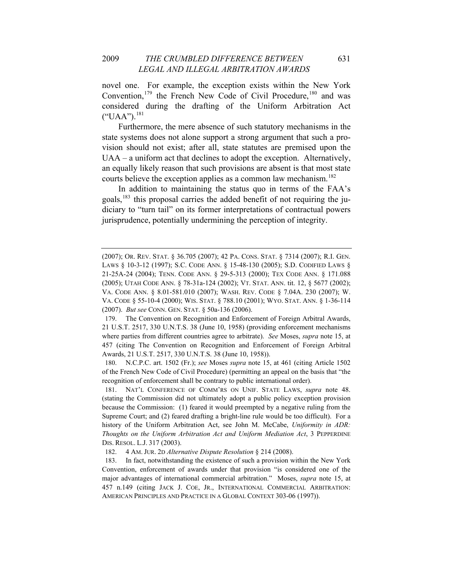considered during the drafting of the Uniform Arbitration Act ("UAA").<sup>[181](#page-35-2)</sup> novel one. For example, the exception exists within the New York Convention,<sup>[179](#page-35-0)</sup> the French New Code of Civil Procedure,<sup>[180](#page-35-1)</sup> and was

[an equally likely reason that such provisions are absent is that most st](#page-35-2)ate courts believe the exception applies as a common law mechanism.<sup>[182](#page-35-3)</sup> [Furthermore, the mere absence of such statutory mechanisms in the](#page-35-2)  [state systems does not alone support a strong argument that such a pro](#page-35-2)[vision should not exist; after all, state statutes are premised upon the](#page-35-2)  [UAA – a uniform act that declines to adopt the exception. Alternatively,](#page-35-2) 

[diciary to "turn tail" on its former interpretations of contractual po](#page-35-3)wers jurisprudence, potentially undermining the perception of integrity. [In addition to maintaining the status quo in terms of the FAA's](#page-35-3)  goals, $^{183}$  this proposal carries the added benefit of not requiring the ju-

<sup>(2007);</sup> OR. REV. STAT. § 36.705 (2007); 42 PA. CONS. STAT. § 7314 (2007); R.I. GEN. LAWS § 10-3-12 (1997); S.C. CODE ANN. § 15-48-130 (2005); S.D. CODIFIED LAWS § 21-25A-24 (2004); TENN. CODE ANN. § 29-5-313 (2000); TEX CODE ANN. § 171.088 (2005); UTAH CODE ANN. § 78-31a-124 (2002); VT. STAT. ANN. tit. 12, § 5677 (2002); VA. CODE ANN. § 8.01-581.010 (2007); WASH. REV. CODE § 7.04A. 230 (2007); W. VA. CODE § 55-10-4 (2000); WIS. STAT. § 788.10 (2001); WYO. STAT. ANN. § 1-36-114 (2007). *But see* CONN. GEN. STAT. § 50a-136 (2006).

<span id="page-35-0"></span><sup>179.</sup> The Convention on Recognition and Enforcement of Foreign Arbitral Awards, 21 U.S.T. 2517, 330 U.N.T.S. 38 (June 10, 1958) (providing enforcement mechanisms where parties from different countries agree to arbitrate). *See* Moses, *supra* note 15, at 457 (citing The Convention on Recognition and Enforcement of Foreign Arbitral Awards, 21 U.S.T. 2517, 330 U.N.T.S. 38 (June 10, 1958)).

<span id="page-35-1"></span><sup>180.</sup> N.C.P.C. art. 1502 (Fr.); *see* Moses *supra* note 15, at 461 (citing Article 1502 of the French New Code of Civil Procedure) (permitting an appeal on the basis that "the recognition of enforcement shall be contrary to public international order).

<sup>181.</sup> NAT'L CONFERENCE OF COMM'RS ON UNIF. STATE LAWS, *supra* note 48. (stating the Commission did not ultimately adopt a public policy exception provision because the Commission: (1) feared it would preempted by a negative ruling from the Supreme Court; and (2) feared drafting a bright-line rule would be too difficult). For a history of the Uniform Arbitration Act, see John M. McCabe, *Uniformity in ADR: Thoughts on the Uniform Arbitration Act and Uniform Mediation Act*, 3 PEPPERDINE DIS. RESOL. L.J. 317 (2003).

<sup>182. 4</sup> AM. JUR. 2D *Alternative Dispute Resolution* § 214 (2008).

<span id="page-35-3"></span><span id="page-35-2"></span><sup>183.</sup> In fact, notwithstanding the existence of such a provision within the New York Convention, enforcement of awards under that provision "is considered one of the major advantages of international commercial arbitration." Moses, *supra* note 15, at 457 n.149 (citing JACK J. COE, JR., INTERNATIONAL COMMERCIAL ARBITRATION: AMERICAN PRINCIPLES AND PRACTICE IN A GLOBAL CONTEXT 303-06 (1997)).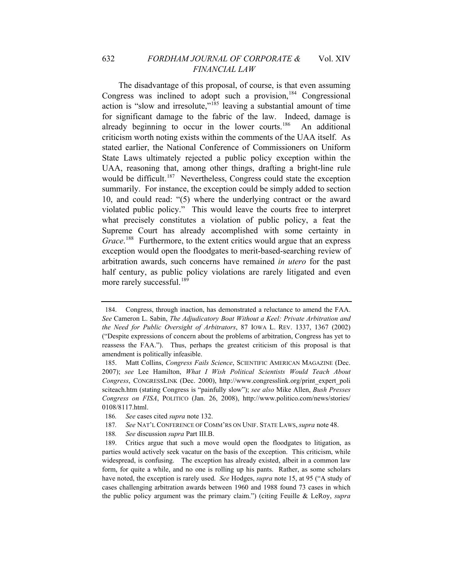# 632 *FORDHAM JOURNAL OF CORPORATE &* Vol. XIV *FINANCIAL LAW*

more rarely successful.<sup>189</sup> The disadvantage of this proposal, of course, is that even assuming Congress was inclined to adopt such a provision, $184$  Congressional action is "slow and irresolute,"<sup>[185](#page-36-1)</sup> leaving a substantial amount of time for significant damage to the fabric of the law. Indeed, damage is already beginning to occur in the lower courts.<sup>[186](#page-36-2)</sup> An additional criticism worth noting exists within the comments of the UAA itself. As stated earlier, the National Conference of Commissioners on Uniform State Laws ultimately rejected a public policy exception within the UAA, reasoning that, among other things, drafting a bright-line rule would be difficult.<sup>[187](#page-36-3)</sup> Nevertheless, Congress could state the exception summarily. For instance, the exception could be simply added to section 10, and could read: "(5) where the underlying contract or the award violated public policy." This would leave the courts free to interpret what precisely constitutes a violation of public policy, a feat the Supreme Court has already accomplished with some certainty in Grace.<sup>[188](#page-36-4)</sup> Furthermore, to the extent critics would argue that an express exception would open the floodgates to merit-based-searching review of arbitration awards, such concerns have remained *in utero* for the past half century, as public policy violations are rarely litigated and even

<span id="page-36-0"></span><sup>184.</sup> Congress, through inaction, has demonstrated a reluctance to amend the FAA. *See* Cameron L. Sabin, *The Adjudicatory Boat Without a Keel: Private Arbitration and the Need for Public Oversight of Arbitrators*, 87 IOWA L. REV. 1337, 1367 (2002) ("Despite expressions of concern about the problems of arbitration, Congress has yet to reassess the FAA."). Thus, perhaps the greatest criticism of this proposal is that amendment is politically infeasible.

<span id="page-36-1"></span>Congress on FISA, POLITICO (Jan. 26, 2008), http://www.politico.com/news/stories/ 185. Matt Collins, *Congress Fails Science*, SCIENTIFIC AMERICAN MAGAZINE (Dec. 2007); *see* Lee Hamilton, *What I Wish Political Scientists Would Teach About Congress*, CONGRESSLINK (Dec. 2000), http://www.congresslink.org/print\_expert\_poli sciteach.htm (stating Congress is "painfully slow"); *see also* Mike Allen, *Bush Presses*  0108/8117.html.

<span id="page-36-2"></span><sup>186</sup>*. See* cases cited *supra* note 132.

<sup>187.</sup> See NAT'L CONFERENCE OF COMM'RS ON UNIF. STATE LAWS, *supra* note 48.

<sup>188</sup>*. See* discussion *supra* Part III.B.

<span id="page-36-4"></span><span id="page-36-3"></span><sup>189.</sup> Critics argue that such a move would open the floodgates to litigation, as parties would actively seek vacatur on the basis of the exception. This criticism, while widespread, is confusing. The exception has already existed, albeit in a common law form, for quite a while, and no one is rolling up his pants. Rather, as some scholars have noted, the exception is rarely used. *See* Hodges, *supra* note 15, at 95 ("A study of cases challenging arbitration awards between 1960 and 1988 found 73 cases in which the public policy argument was the primary claim.") (citing Feuille & LeRoy, *supra*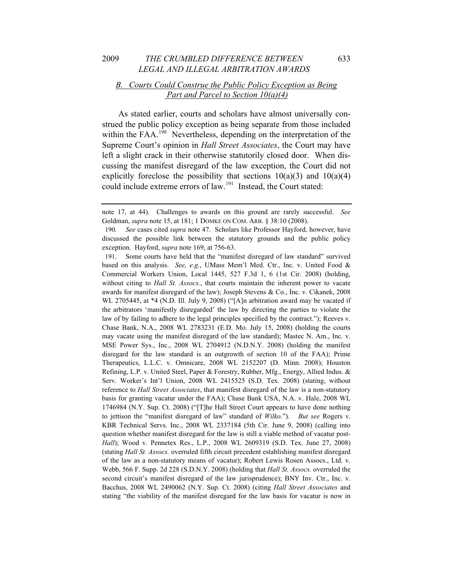# *B. Courts Could Construe the Public Policy Exception as Being Part and Parcel to Section 10(a)(4)*

As stated earlier, courts and scholars have almost universally construed the public policy exception as being separate from those included within the FAA.<sup>[190](#page-37-0)</sup> Nevertheless, depending on the interpretation of the Supreme Court's opinion in *Hall Street Associates*, the Court may have left a slight crack in their otherwise statutorily closed door. When discussing the manifest disregard of the law exception, the Court did not explicitly foreclose the possibility that sections  $10(a)(3)$  and  $10(a)(4)$ could include extreme errors of law.<sup>[191](#page-37-1)</sup> Instead, the Court stated:

note 17, at 44). Challenges to awards on this ground are rarely successful. *See* Goldman, *supra* note 15, at 181; 1 DOMKE ON COM. ARB. § 38:10 (2008).

<span id="page-37-0"></span>discussed the possible link between the statutory grounds and the public policy 190*. See* cases cited *supra* note 47. Scholars like Professor Hayford, however, have exception. Hayford, *supra* note 169, at 756-63.

<span id="page-37-1"></span><sup>191.</sup> Some courts have held that the "manifest disregard of law standard" survived based on this analysis. *See, e.g.*, UMass Mem'l Med. Ctr., Inc. v. United Food & Commercial Workers Union, Local 1445, 527 F.3d 1, 6 (1st Cir. 2008) (holding, without citing to *Hall St. Assocs.*, that courts maintain the inherent power to vacate awards for manifest disregard of the law); Joseph Stevens & Co., Inc. v. Cikanek, 2008 WL 2705445, at \*4 (N.D. Ill. July 9, 2008) ("[A]n arbitration award may be vacated if the arbitrators 'manifestly disregarded' the law by directing the parties to violate the law of by failing to adhere to the legal principles specified by the contract."); Reeves v. Chase Bank, N.A., 2008 WL 2783231 (E.D. Mo. July 15, 2008) (holding the courts may vacate using the manifest disregard of the law standard); Mastec N. Am., Inc. v. MSE Power Sys., Inc., 2008 WL 2704912 (N.D.N.Y. 2008) (holding the manifest disregard for the law standard is an outgrowth of section 10 of the FAA); Prime Therapeutics, L.L.C. v. Omnicare, 2008 WL 2152207 (D. Minn. 2008); Houston Refining, L.P. v. United Steel, Paper & Forestry, Rubber, Mfg., Energy, Allied Indus. & Serv. Worker's Int'l Union, 2008 WL 2415525 (S.D. Tex. 2008) (stating, without reference to *Hall Street Associates*, that manifest disregard of the law is a non-statutory basis for granting vacatur under the FAA); Chase Bank USA, N.A. v. Hale, 2008 WL 1746984 (N.Y. Sup. Ct. 2008) ("[T]he Hall Street Court appears to have done nothing to jettison the "manifest disregard of law" standard of *Wilko*."). *But see* Rogers v. KBR Technical Servs. Inc., 2008 WL 2337184 (5th Cir. June 9, 2008) (calling into question whether manifest disregard for the law is still a viable method of vacatur post-*Hall*); Wood v. Pennetex Res., L.P., 2008 WL 2609319 (S.D. Tex. June 27, 2008) (stating *Hall St. Assocs.* overruled fifth circuit precedent establishing manifest disregard of the law as a non-statutory means of vacatur); Robert Lewis Rosen Assocs., Ltd. v. Webb, 566 F. Supp. 2d 228 (S.D.N.Y. 2008) (holding that *Hall St. Assocs.* overruled the second circuit's manifest disregard of the law jurisprudence); BNY Inv. Ctr., Inc. v. Bacchus, 2008 WL 2490062 (N.Y. Sup. Ct. 2008) (citing *Hall Street Associates* and stating "the viability of the manifest disregard for the law basis for vacatur is now in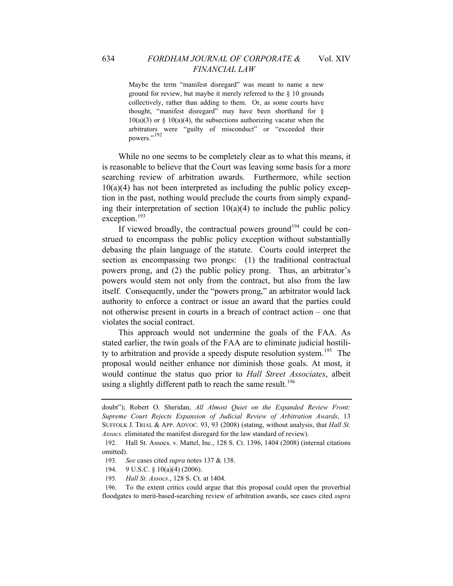Maybe the term "manifest disregard" was meant to name a new ground for review, but maybe it merely referred to the § 10 grounds collectively, rather than adding to them. Or, as some courts have thought, "manifest disregard" may have been shorthand for §  $10(a)(3)$  or §  $10(a)(4)$ , the subsections authorizing vacatur when the arbitrators were "guilty of misconduct" or "exceeded their powers."<sup>[192](#page-38-0)</sup>

While no one seems to be completely clear as to what this means, it is reasonable to believe that the Court was leaving some basis for a more searching review of arbitration awards. Furthermore, while section  $10(a)(4)$  has not been interpreted as including the public policy exception in the past, nothing would preclude the courts from simply expanding their interpretation of section  $10(a)(4)$  to include the public policy exception.<sup>[193](#page-38-1)</sup>

If viewed broadly, the contractual powers ground<sup>[194](#page-38-2)</sup> could be construed to encompass the public policy exception without substantially debasing the plain language of the statute. Courts could interpret the section as encompassing two prongs: (1) the traditional contractual powers prong, and (2) the public policy prong. Thus, an arbitrator's powers would stem not only from the contract, but also from the law itself. Consequently, under the "powers prong," an arbitrator would lack authority to enforce a contract or issue an award that the parties could not otherwise present in courts in a breach of contract action – one that violates the social contract.

This approach would not undermine the goals of the FAA. As stated earlier, the twin goals of the FAA are to eliminate judicial hostili-ty to arbitration and provide a speedy dispute resolution system.<sup>[195](#page-38-3)</sup> The proposal would neither enhance nor diminish those goals. At most, it would continue the status quo prior to *Hall Street Associates*, albeit using a slightly different path to reach the same result.<sup>[196](#page-38-4)</sup>

doubt"); Robert O. Sheridan, *All Almost Quiet on the Expanded Review Front: Supreme Court Rejects Expansion of Judicial Review of Arbitration Awards*, 13 SUFFOLK J. TRIAL & APP. ADVOC. 93, 93 (2008) (stating, without analysis, that *Hall St. . Assocs* eliminated the manifest disregard for the law standard of review).

<span id="page-38-1"></span><span id="page-38-0"></span>Hall St. Assocs. v. Mattel, Inc., 128 S. Ct. 1396, 1404 (2008) (internal citations 192. omitted).

<sup>37 &</sup>amp; 138. 193*. See* cases cited *supra* notes 1

<sup>194. 9</sup> U.S.C. § 10(a)(4) (2006).

<sup>195</sup>*. Hall St. Assocs.*, 128 S. Ct. at 1404.

<span id="page-38-4"></span><span id="page-38-3"></span><span id="page-38-2"></span>floodgates to merit-based-searching review of arbitration awards, see cases cited *supra* 196. To the extent critics could argue that this proposal could open the proverbial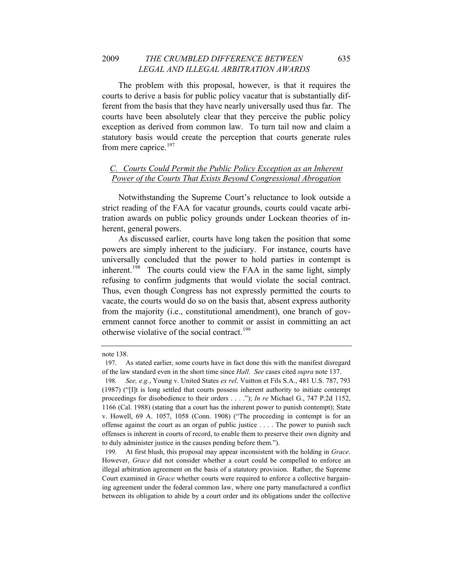The problem with this proposal, however, is that it requires the courts to derive a basis for public policy vacatur that is substantially different from the basis that they have nearly universally used thus far. The courts have been absolutely clear that they perceive the public policy exception as derived from common law. To turn tail now and claim a statutory basis would create the perception that courts generate rules from mere caprice.<sup>[197](#page-39-0)</sup>

# *C. Courts Could Permit the Public Policy Exception as an Inherent Power of the Courts That Exists Beyond Congressional Abrogation*

Notwithstanding the Supreme Court's reluctance to look outside a strict reading of the FAA for vacatur grounds, courts could vacate arbitration awards on public policy grounds under Lockean theories of inherent, general powers.

As discussed earlier, courts have long taken the position that some powers are simply inherent to the judiciary. For instance, courts have universally concluded that the power to hold parties in contempt is inherent.<sup>[198](#page-39-1)</sup> The courts could view the FAA in the same light, simply refusing to confirm judgments that would violate the social contract. Thus, even though Congress has not expressly permitted the courts to vacate, the courts would do so on the basis that, absent express authority from the majority (i.e., constitutional amendment), one branch of government cannot force another to commit or assist in committing an act otherwise violative of the social contract.<sup>[199](#page-39-2)</sup>

note 138.

<span id="page-39-0"></span><sup>197.</sup> As stated earlier, some courts have in fact done this with the manifest disregard of the law standard even in the short time since *Hall*. *See* cases cited *supra* note 137.

<span id="page-39-1"></span>offenses is inherent in courts of record, to enable them to preserve their own dignity and 198*. See, e.g.*, Young v. United States *ex rel*. Vuitton et Fils S.A., 481 U.S. 787, 793 (1987) ("[I]t is long settled that courts possess inherent authority to initiate contempt proceedings for disobedience to their orders . . . ."); *In re* Michael G., 747 P.2d 1152, 1166 (Cal. 1988) (stating that a court has the inherent power to punish contempt); State v. Howell, 69 A. 1057, 1058 (Conn. 1908) ("The proceeding in contempt is for an offense against the court as an organ of public justice . . . . The power to punish such to duly administer justice in the causes pending before them.").

<span id="page-39-2"></span><sup>199.</sup> At first blush, this proposal may appear inconsistent with the holding in *Grace*. However, *Grace* did not consider whether a court could be compelled to enforce an illegal arbitration agreement on the basis of a statutory provision. Rather, the Supreme Court examined in *Grace* whether courts were required to enforce a collective bargaining agreement under the federal common law, where one party manufactured a conflict between its obligation to abide by a court order and its obligations under the collective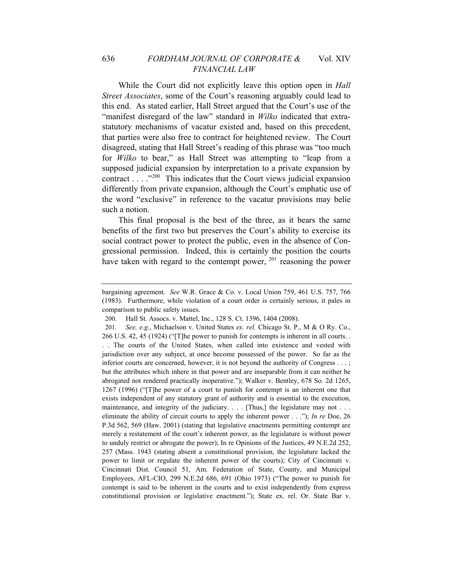While the Court did not explicitly leave this option open in *Hall Street Associates*, some of the Court's reasoning arguably could lead to this end. As stated earlier, Hall Street argued that the Court's use of the "manifest disregard of the law" standard in *Wilko* indicated that extrastatutory mechanisms of vacatur existed and, based on this precedent, that parties were also free to contract for heightened review. The Court disagreed, stating that Hall Street's reading of this phrase was "too much for *Wilko* to bear," as Hall Street was attempting to "leap from a supposed judicial expansion by interpretation to a private expansion by contract . . . ."[200](#page-40-0) This indicates that the Court views judicial expansion differently from private expansion, although the Court's emphatic use of the word "exclusive" in reference to the vacatur provisions may belie such a notion.

This final proposal is the best of the three, as it bears the same benefits of the first two but preserves the Court's ability to exercise its social contract power to protect the public, even in the absence of Congressional permission. Indeed, this is certainly the position the courts have taken with regard to the contempt power,  $^{201}$  $^{201}$  $^{201}$  reasoning the power

bargaining agreement. *See* W.R. Grace & Co. v. Local Union 759, 461 U.S. 757, 766 (1983). Furthermore, while violation of a court order is certainly serious, it pales in comparison to public safety issues.

<sup>200.</sup> Hall St. Assocs. v. Mattel, Inc., 128 S. Ct. 1396, 1404 (2008).

<span id="page-40-1"></span><span id="page-40-0"></span><sup>201</sup>*. See, e.g.*, Michaelson v. United States *ex. rel.* Chicago St. P., M & O Ry. Co., 266 U.S. 42, 45 (1924) ("[T]he power to punish for contempts is inherent in all courts. . . . The courts of the United States, when called into existence and vested with jurisdiction over any subject, at once become possessed of the power. So far as the inferior courts are concerned, however, it is not beyond the authority of Congress . . . ; but the attributes which inhere in that power and are inseparable from it can neither be abrogated not rendered practically inoperative."); Walker v. Bentley, 678 So. 2d 1265, 1267 (1996) ("[T]he power of a court to punish for contempt is an inherent one that exists independent of any statutory grant of authority and is essential to the execution, maintenance, and integrity of the judiciary. . . . [Thus,] the legislature may not . . . eliminate the ability of circuit courts to apply the inherent power . . ."); *In re* Doe, 26 P.3d 562, 569 (Haw. 2001) (stating that legislative enactments permitting contempt are merely a restatement of the court's inherent power, as the legislature is without power to unduly restrict or abrogate the power); In re Opinions of the Justices, 49 N.E.2d 252, 257 (Mass. 1943 (stating absent a constitutional provision, the legislature lacked the power to limit or regulate the inherent power of the courts); City of Cincinnati v. Cincinnati Dist. Council 51, Am. Federation of State, County, and Municipal Employees, AFL-CIO, 299 N.E.2d 686, 691 (Ohio 1973) ("The power to punish for contempt is said to be inherent in the courts and to exist independently from express constitutional provision or legislative enactment."); State ex. rel. Or. State Bar v.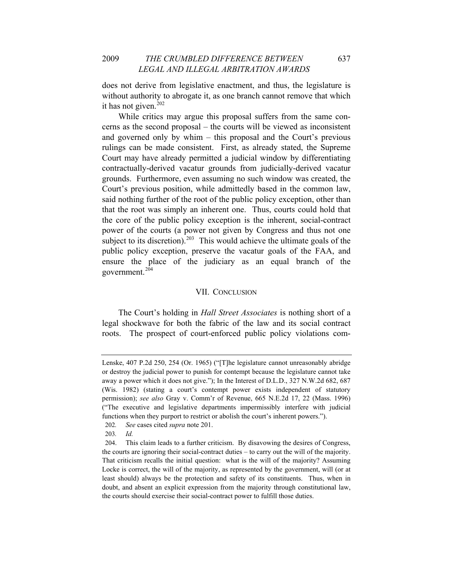does not derive from legislative enactment, and thus, the legislature is without authority to abrogate it, as one branch cannot remove that which it has not given.<sup>[202](#page-41-0)</sup>

government.<sup>204</sup> While critics may argue this proposal suffers from the same concerns as the second proposal – the courts will be viewed as inconsistent and governed only by whim – this proposal and the Court's previous rulings can be made consistent. First, as already stated, the Supreme Court may have already permitted a judicial window by differentiating contractually-derived vacatur grounds from judicially-derived vacatur grounds. Furthermore, even assuming no such window was created, the Court's previous position, while admittedly based in the common law, said nothing further of the root of the public policy exception, other than that the root was simply an inherent one. Thus, courts could hold that the core of the public policy exception is the inherent, social-contract power of the courts (a power not given by Congress and thus not one subject to its discretion).<sup>[203](#page-41-1)</sup> This would achieve the ultimate goals of the public policy exception, preserve the vacatur goals of the FAA, and ensure the place of the judiciary as an equal branch of the

#### VII. CONCLUSION

The Court's holding in *Hall Street Associates* is nothing short of a legal shockwave for both the fabric of the law and its social contract roots. The prospect of court-enforced public policy violations com-

202*. See* cases cited *supra* note 201.

Lenske, 407 P.2d 250, 254 (Or. 1965) ("[T]he legislature cannot unreasonably abridge or destroy the judicial power to punish for contempt because the legislature cannot take away a power which it does not give."); In the Interest of D.L.D., 327 N.W.2d 682, 687 (Wis. 1982) (stating a court's contempt power exists independent of statutory permission); *see also* Gray v. Comm'r of Revenue, 665 N.E.2d 17, 22 (Mass. 1996) ("The executive and legislative departments impermissibly interfere with judicial functions when they purport to restrict or abolish the court's inherent powers.").

<sup>203</sup>*. Id.*

<span id="page-41-1"></span><span id="page-41-0"></span><sup>204.</sup> This claim leads to a further criticism. By disavowing the desires of Congress, the courts are ignoring their social-contract duties – to carry out the will of the majority. That criticism recalls the initial question: what is the will of the majority? Assuming Locke is correct, the will of the majority, as represented by the government, will (or at least should) always be the protection and safety of its constituents. Thus, when in doubt, and absent an explicit expression from the majority through constitutional law, the courts should exercise their social-contract power to fulfill those duties.